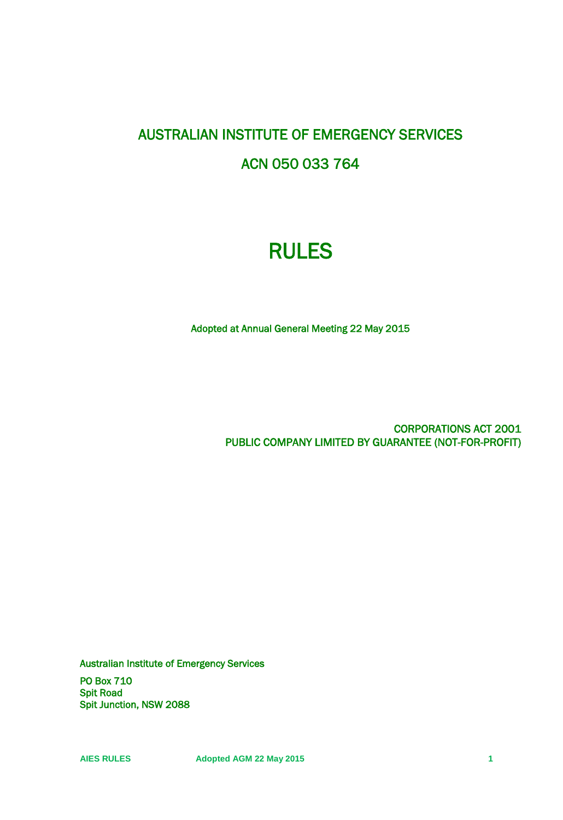# AUSTRALIAN INSTITUTE OF EMERGENCY SERVICES ACN 050 033 764

# RULES

Adopted at Annual General Meeting 22 May 2015

CORPORATIONS ACT 2001 PUBLIC COMPANY LIMITED BY GUARANTEE (NOT-FOR-PROFIT)

Australian Institute of Emergency Services

PO Box 710 Spit Road Spit Junction, NSW 2088

**AIES RULES Adopted AGM 22 May 2015 1**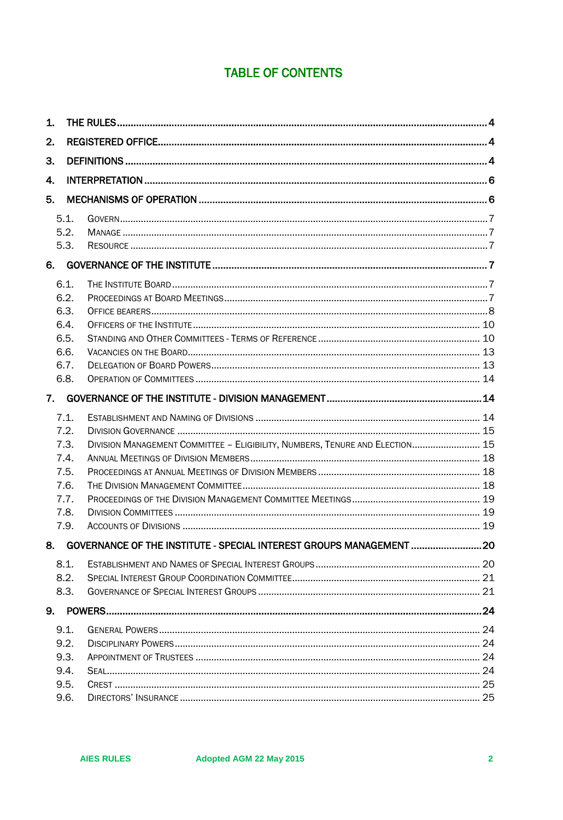## **TABLE OF CONTENTS**

| 1. |      |                                                                              |  |  |  |  |  |
|----|------|------------------------------------------------------------------------------|--|--|--|--|--|
| 2. |      |                                                                              |  |  |  |  |  |
| 3. |      |                                                                              |  |  |  |  |  |
| 4. |      |                                                                              |  |  |  |  |  |
| 5. |      |                                                                              |  |  |  |  |  |
|    | 5.1. |                                                                              |  |  |  |  |  |
|    | 5.2. |                                                                              |  |  |  |  |  |
|    | 5.3. |                                                                              |  |  |  |  |  |
| 6. |      |                                                                              |  |  |  |  |  |
|    | 6.1. |                                                                              |  |  |  |  |  |
|    | 6.2. |                                                                              |  |  |  |  |  |
|    | 6.3. |                                                                              |  |  |  |  |  |
|    | 6.4. |                                                                              |  |  |  |  |  |
|    | 6.5. |                                                                              |  |  |  |  |  |
|    | 6.6. |                                                                              |  |  |  |  |  |
|    | 6.7. |                                                                              |  |  |  |  |  |
|    | 6.8. |                                                                              |  |  |  |  |  |
| 7. |      |                                                                              |  |  |  |  |  |
|    | 7.1. |                                                                              |  |  |  |  |  |
|    | 7.2. |                                                                              |  |  |  |  |  |
|    | 7.3. | DIVISION MANAGEMENT COMMITTEE - ELIGIBILITY, NUMBERS, TENURE AND ELECTION 15 |  |  |  |  |  |
|    | 7.4. |                                                                              |  |  |  |  |  |
|    | 7.5. |                                                                              |  |  |  |  |  |
|    | 7.6. |                                                                              |  |  |  |  |  |
|    | 7.7. |                                                                              |  |  |  |  |  |
|    | 7.8. |                                                                              |  |  |  |  |  |
|    | 7.9. |                                                                              |  |  |  |  |  |
|    |      | 8. GOVERNANCE OF THE INSTITUTE - SPECIAL INTEREST GROUPS MANAGEMENT          |  |  |  |  |  |
|    | 8.1. |                                                                              |  |  |  |  |  |
|    | 8.2. |                                                                              |  |  |  |  |  |
|    | 8.3. |                                                                              |  |  |  |  |  |
| 9. |      |                                                                              |  |  |  |  |  |
|    | 9.1. |                                                                              |  |  |  |  |  |
|    | 9.2. |                                                                              |  |  |  |  |  |
|    | 9.3. |                                                                              |  |  |  |  |  |
|    | 9.4. |                                                                              |  |  |  |  |  |
|    | 9.5. |                                                                              |  |  |  |  |  |
|    | 9.6. |                                                                              |  |  |  |  |  |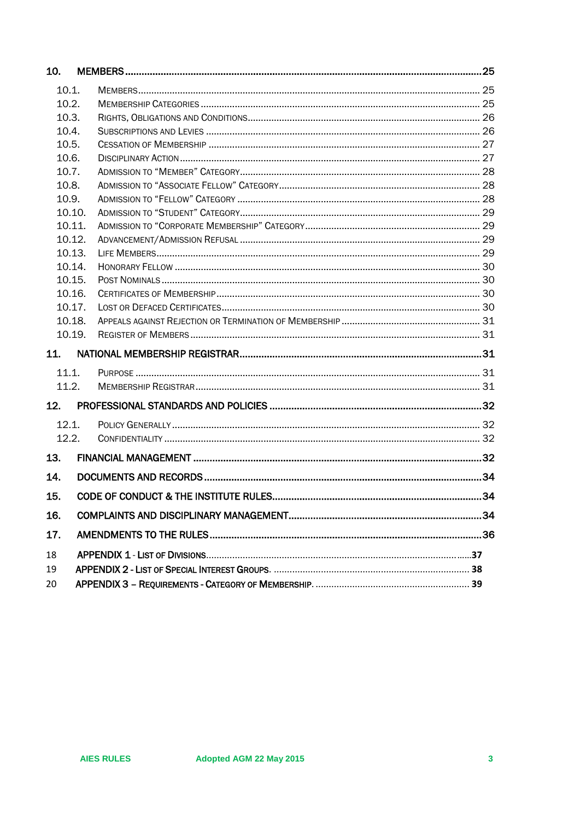| 10.    |  |  |
|--------|--|--|
| 10.1.  |  |  |
| 10.2.  |  |  |
| 10.3.  |  |  |
| 10.4.  |  |  |
| 10.5.  |  |  |
| 10.6.  |  |  |
| 10.7.  |  |  |
| 10.8.  |  |  |
| 10.9.  |  |  |
| 10.10. |  |  |
| 10.11. |  |  |
| 10.12. |  |  |
| 10.13. |  |  |
| 10.14. |  |  |
| 10.15. |  |  |
| 10.16. |  |  |
| 10.17. |  |  |
| 10.18. |  |  |
| 10.19. |  |  |
| 11.    |  |  |
| 11.1.  |  |  |
| 11.2.  |  |  |
| 12.    |  |  |
| 12.1.  |  |  |
| 12.2.  |  |  |
| 13.    |  |  |
| 14.    |  |  |
| 15.    |  |  |
| 16.    |  |  |
|        |  |  |
| 17.    |  |  |
| 18     |  |  |
| 19     |  |  |
| 20     |  |  |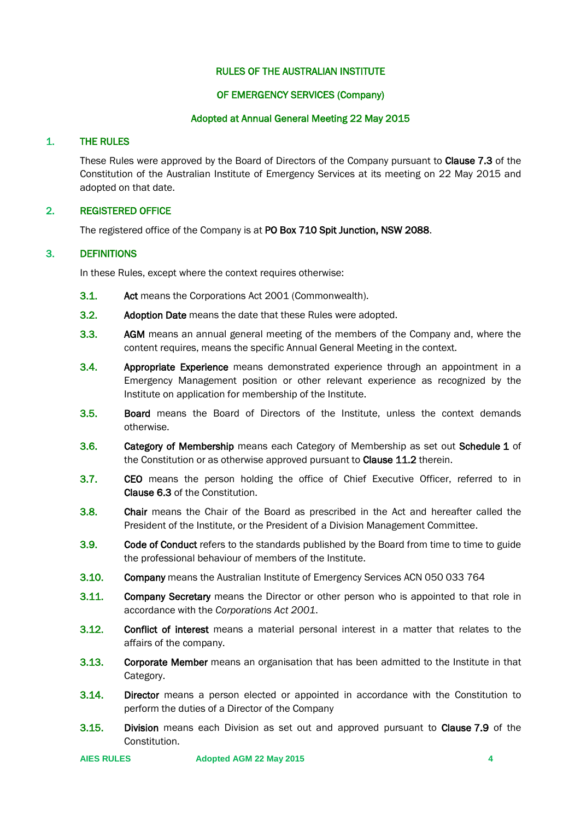## RULES OF THE AUSTRALIAN INSTITUTE

## OF EMERGENCY SERVICES (Company)

## Adopted at Annual General Meeting 22 May 2015

## <span id="page-3-0"></span>1. THE RULES

These Rules were approved by the Board of Directors of the Company pursuant to Clause 7.3 of the Constitution of the Australian Institute of Emergency Services at its meeting on 22 May 2015 and adopted on that date.

## <span id="page-3-1"></span>2. REGISTERED OFFICE

The registered office of the Company is at PO Box 710 Spit Junction, NSW 2088.

## <span id="page-3-2"></span>3. DEFINITIONS

In these Rules, except where the context requires otherwise:

- 3.1. Act means the Corporations Act 2001 (Commonwealth).
- 3.2. Adoption Date means the date that these Rules were adopted.
- 3.3. AGM means an annual general meeting of the members of the Company and, where the content requires, means the specific Annual General Meeting in the context.
- **3.4.** Appropriate Experience means demonstrated experience through an appointment in a Emergency Management position or other relevant experience as recognized by the Institute on application for membership of the Institute.
- 3.5. Board means the Board of Directors of the Institute, unless the context demands otherwise.
- 3.6. Category of Membership means each Category of Membership as set out Schedule 1 of the Constitution or as otherwise approved pursuant to **Clause 11.2** therein.
- 3.7. CEO means the person holding the office of Chief Executive Officer, referred to in Clause 6.3 of the Constitution.
- 3.8. Chair means the Chair of the Board as prescribed in the Act and hereafter called the President of the Institute, or the President of a Division Management Committee.
- 3.9. Code of Conduct refers to the standards published by the Board from time to time to guide the professional behaviour of members of the Institute.
- 3.10. Company means the Australian Institute of Emergency Services ACN 050 033 764
- **3.11.** Company Secretary means the Director or other person who is appointed to that role in accordance with the *Corporations Act 2001*.
- **3.12.** Conflict of interest means a material personal interest in a matter that relates to the affairs of the company.
- **3.13.** Corporate Member means an organisation that has been admitted to the Institute in that Category.
- **3.14.** Director means a person elected or appointed in accordance with the Constitution to perform the duties of a Director of the Company
- 3.15. Division means each Division as set out and approved pursuant to Clause 7.9 of the Constitution.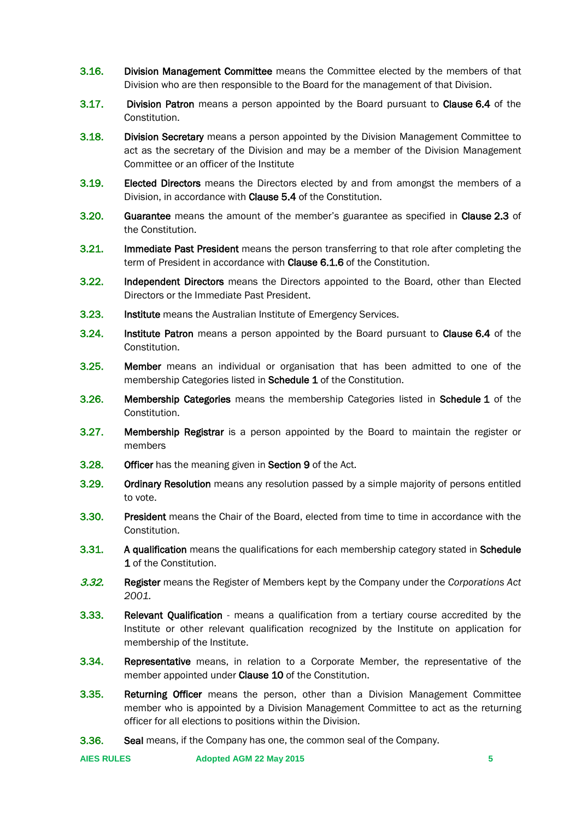- **3.16.** Division Management Committee means the Committee elected by the members of that Division who are then responsible to the Board for the management of that Division.
- 3.17. Division Patron means a person appointed by the Board pursuant to Clause 6.4 of the Constitution.
- **3.18.** Division Secretary means a person appointed by the Division Management Committee to act as the secretary of the Division and may be a member of the Division Management Committee or an officer of the Institute
- **3.19.** Elected Directors means the Directors elected by and from amongst the members of a Division, in accordance with Clause 5.4 of the Constitution.
- **3.20.** Guarantee means the amount of the member's guarantee as specified in Clause 2.3 of the Constitution.
- **3.21.** Immediate Past President means the person transferring to that role after completing the term of President in accordance with Clause 6.1.6 of the Constitution.
- 3.22. Independent Directors means the Directors appointed to the Board, other than Elected Directors or the Immediate Past President.
- 3.23. Institute means the Australian Institute of Emergency Services.
- 3.24. Institute Patron means a person appointed by the Board pursuant to Clause 6.4 of the Constitution.
- 3.25. Member means an individual or organisation that has been admitted to one of the membership Categories listed in **Schedule 1** of the Constitution.
- 3.26. Membership Categories means the membership Categories listed in Schedule 1 of the Constitution.
- **3.27.** Membership Registrar is a person appointed by the Board to maintain the register or members
- 3.28. Officer has the meaning given in Section 9 of the Act.
- **3.29.** Ordinary Resolution means any resolution passed by a simple majority of persons entitled to vote.
- **3.30.** President means the Chair of the Board, elected from time to time in accordance with the Constitution.
- **3.31.** A qualification means the qualifications for each membership category stated in Schedule 1 of the Constitution.
- 3.32. Register means the Register of Members kept by the Company under the *Corporations Act 2001.*
- 3.33. Relevant Qualification means a qualification from a tertiary course accredited by the Institute or other relevant qualification recognized by the Institute on application for membership of the Institute.
- **3.34.** Representative means, in relation to a Corporate Member, the representative of the member appointed under **Clause 10** of the Constitution.
- 3.35. Returning Officer means the person, other than a Division Management Committee member who is appointed by a Division Management Committee to act as the returning officer for all elections to positions within the Division.
- 3.36. Seal means, if the Company has one, the common seal of the Company.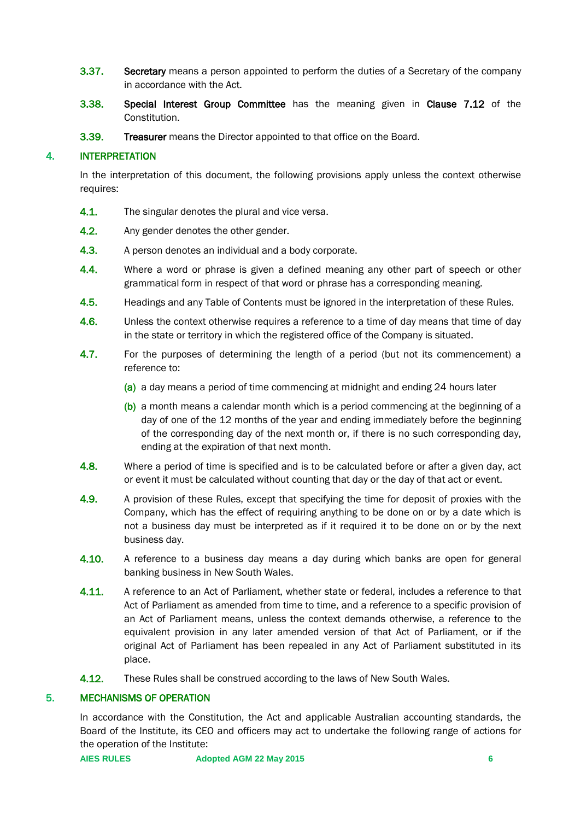- **3.37.** Secretary means a person appointed to perform the duties of a Secretary of the company in accordance with the Act.
- 3.38. Special Interest Group Committee has the meaning given in Clause 7.12 of the Constitution.
- **3.39. Treasurer** means the Director appointed to that office on the Board.

## <span id="page-5-0"></span>4. INTERPRETATION

In the interpretation of this document, the following provisions apply unless the context otherwise requires:

- **4.1.** The singular denotes the plural and vice versa.
- 4.2. Any gender denotes the other gender.
- 4.3. A person denotes an individual and a body corporate.
- **4.4.** Where a word or phrase is given a defined meaning any other part of speech or other grammatical form in respect of that word or phrase has a corresponding meaning.
- 4.5. Headings and any Table of Contents must be ignored in the interpretation of these Rules.
- 4.6. Unless the context otherwise requires a reference to a time of day means that time of day in the state or territory in which the registered office of the Company is situated.
- 4.7. For the purposes of determining the length of a period (but not its commencement) a reference to:
	- (a) a day means a period of time commencing at midnight and ending 24 hours later
	- (b) a month means a calendar month which is a period commencing at the beginning of a day of one of the 12 months of the year and ending immediately before the beginning of the corresponding day of the next month or, if there is no such corresponding day, ending at the expiration of that next month.
- 4.8. Where a period of time is specified and is to be calculated before or after a given day, act or event it must be calculated without counting that day or the day of that act or event.
- 4.9. A provision of these Rules, except that specifying the time for deposit of proxies with the Company, which has the effect of requiring anything to be done on or by a date which is not a business day must be interpreted as if it required it to be done on or by the next business day.
- 4.10. A reference to a business day means a day during which banks are open for general banking business in New South Wales.
- 4.11. A reference to an Act of Parliament, whether state or federal, includes a reference to that Act of Parliament as amended from time to time, and a reference to a specific provision of an Act of Parliament means, unless the context demands otherwise, a reference to the equivalent provision in any later amended version of that Act of Parliament, or if the original Act of Parliament has been repealed in any Act of Parliament substituted in its place.
- 4.12. These Rules shall be construed according to the laws of New South Wales.

## <span id="page-5-1"></span>5. MECHANISMS OF OPERATION

In accordance with the Constitution, the Act and applicable Australian accounting standards, the Board of the Institute, its CEO and officers may act to undertake the following range of actions for the operation of the Institute: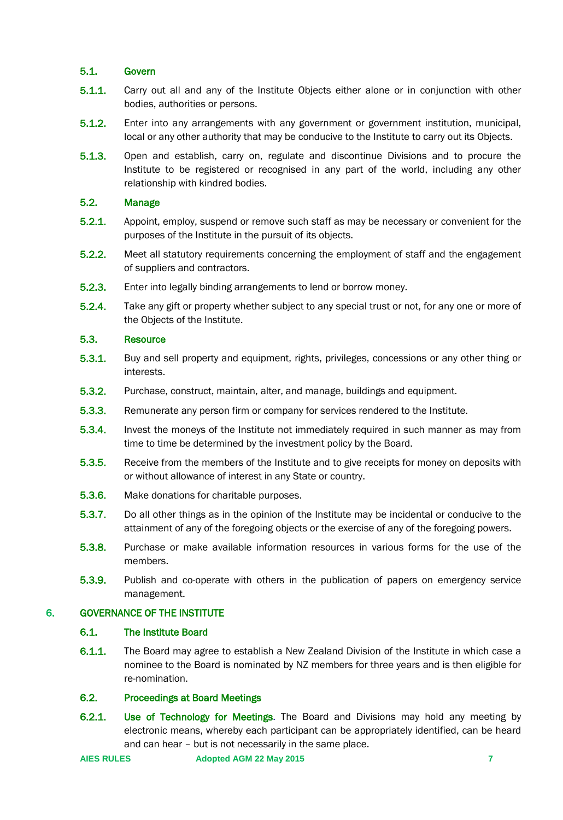## <span id="page-6-0"></span>5.1. Govern

- 5.1.1. Carry out all and any of the Institute Objects either alone or in conjunction with other bodies, authorities or persons.
- 5.1.2. Enter into any arrangements with any government or government institution, municipal, local or any other authority that may be conducive to the Institute to carry out its Objects.
- 5.1.3. Open and establish, carry on, regulate and discontinue Divisions and to procure the Institute to be registered or recognised in any part of the world, including any other relationship with kindred bodies.

## <span id="page-6-1"></span>5.2. Manage

- 5.2.1. Appoint, employ, suspend or remove such staff as may be necessary or convenient for the purposes of the Institute in the pursuit of its objects.
- 5.2.2. Meet all statutory requirements concerning the employment of staff and the engagement of suppliers and contractors.
- 5.2.3. Enter into legally binding arrangements to lend or borrow money.
- 5.2.4. Take any gift or property whether subject to any special trust or not, for any one or more of the Objects of the Institute.

## <span id="page-6-2"></span>5.3. Resource

- 5.3.1. Buy and sell property and equipment, rights, privileges, concessions or any other thing or interests.
- 5.3.2. Purchase, construct, maintain, alter, and manage, buildings and equipment.
- 5.3.3. Remunerate any person firm or company for services rendered to the Institute.
- 5.3.4. Invest the moneys of the Institute not immediately required in such manner as may from time to time be determined by the investment policy by the Board.
- 5.3.5. Receive from the members of the Institute and to give receipts for money on deposits with or without allowance of interest in any State or country.
- 5.3.6. Make donations for charitable purposes.
- 5.3.7. Do all other things as in the opinion of the Institute may be incidental or conducive to the attainment of any of the foregoing objects or the exercise of any of the foregoing powers.
- 5.3.8. Purchase or make available information resources in various forms for the use of the members.
- 5.3.9. Publish and co-operate with others in the publication of papers on emergency service management.

## <span id="page-6-4"></span><span id="page-6-3"></span>6. GOVERNANCE OF THE INSTITUTE

## 6.1. The Institute Board

6.1.1. The Board may agree to establish a New Zealand Division of the Institute in which case a nominee to the Board is nominated by NZ members for three years and is then eligible for re-nomination.

## <span id="page-6-5"></span>6.2. Proceedings at Board Meetings

6.2.1. Use of Technology for Meetings. The Board and Divisions may hold any meeting by electronic means, whereby each participant can be appropriately identified, can be heard and can hear – but is not necessarily in the same place.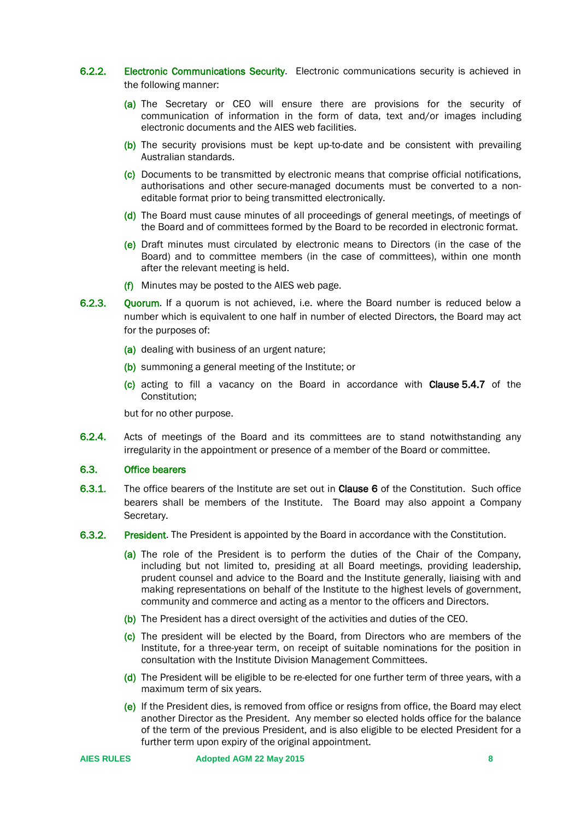## 6.2.2. Electronic Communications Security. Electronic communications security is achieved in the following manner:

- (a) The Secretary or CEO will ensure there are provisions for the security of communication of information in the form of data, text and/or images including electronic documents and the AIES web facilities.
- (b) The security provisions must be kept up-to-date and be consistent with prevailing Australian standards.
- (c) Documents to be transmitted by electronic means that comprise official notifications, authorisations and other secure-managed documents must be converted to a noneditable format prior to being transmitted electronically.
- (d) The Board must cause minutes of all proceedings of general meetings, of meetings of the Board and of committees formed by the Board to be recorded in electronic format.
- (e) Draft minutes must circulated by electronic means to Directors (in the case of the Board) and to committee members (in the case of committees), within one month after the relevant meeting is held.
- $(f)$  Minutes may be posted to the AIES web page.
- 6.2.3. Quorum. If a quorum is not achieved, i.e. where the Board number is reduced below a number which is equivalent to one half in number of elected Directors, the Board may act for the purposes of:
	- (a) dealing with business of an urgent nature;
	- (b) summoning a general meeting of the Institute; or
	- (c) acting to fill a vacancy on the Board in accordance with Clause 5.4.7 of the Constitution;

but for no other purpose.

6.2.4. Acts of meetings of the Board and its committees are to stand notwithstanding any irregularity in the appointment or presence of a member of the Board or committee.

## <span id="page-7-0"></span>6.3. Office bearers

- 6.3.1. The office bearers of the Institute are set out in Clause 6 of the Constitution. Such office bearers shall be members of the Institute. The Board may also appoint a Company Secretary.
- 6.3.2. President. The President is appointed by the Board in accordance with the Constitution.
	- (a) The role of the President is to perform the duties of the Chair of the Company, including but not limited to, presiding at all Board meetings, providing leadership, prudent counsel and advice to the Board and the Institute generally, liaising with and making representations on behalf of the Institute to the highest levels of government, community and commerce and acting as a mentor to the officers and Directors.
	- (b) The President has a direct oversight of the activities and duties of the CEO.
	- (c) The president will be elected by the Board, from Directors who are members of the Institute, for a three-year term, on receipt of suitable nominations for the position in consultation with the Institute Division Management Committees.
	- (d) The President will be eligible to be re-elected for one further term of three years, with a maximum term of six years.
	- (e) If the President dies, is removed from office or resigns from office, the Board may elect another Director as the President. Any member so elected holds office for the balance of the term of the previous President, and is also eligible to be elected President for a further term upon expiry of the original appointment.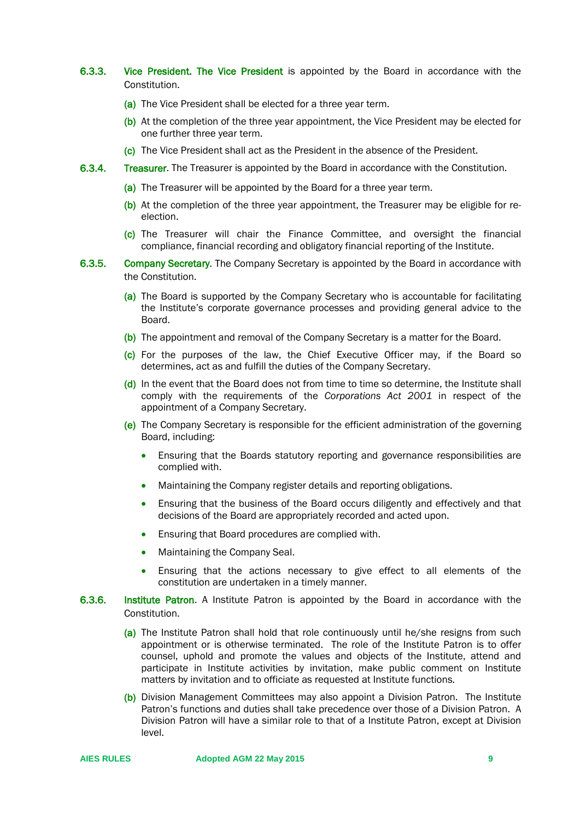- 6.3.3. Vice President. The Vice President is appointed by the Board in accordance with the Constitution.
	- (a) The Vice President shall be elected for a three year term.
	- (b) At the completion of the three year appointment, the Vice President may be elected for one further three year term.
	- (c) The Vice President shall act as the President in the absence of the President.
- 6.3.4. Treasurer. The Treasurer is appointed by the Board in accordance with the Constitution.
	- (a) The Treasurer will be appointed by the Board for a three year term.
	- (b) At the completion of the three year appointment, the Treasurer may be eligible for reelection.
	- (c) The Treasurer will chair the Finance Committee, and oversight the financial compliance, financial recording and obligatory financial reporting of the Institute.
- 6.3.5. Company Secretary. The Company Secretary is appointed by the Board in accordance with the Constitution.
	- (a) The Board is supported by the Company Secretary who is accountable for facilitating the Institute's corporate governance processes and providing general advice to the Board.
	- (b) The appointment and removal of the Company Secretary is a matter for the Board.
	- (c) For the purposes of the law, the Chief Executive Officer may, if the Board so determines, act as and fulfill the duties of the Company Secretary.
	- (d) In the event that the Board does not from time to time so determine, the Institute shall comply with the requirements of the *Corporations Act 2001* in respect of the appointment of a Company Secretary.
	- (e) The Company Secretary is responsible for the efficient administration of the governing Board, including:
		- Ensuring that the Boards statutory reporting and governance responsibilities are complied with.
		- Maintaining the Company register details and reporting obligations.
		- Ensuring that the business of the Board occurs diligently and effectively and that decisions of the Board are appropriately recorded and acted upon.
		- Ensuring that Board procedures are complied with.
		- Maintaining the Company Seal.
		- Ensuring that the actions necessary to give effect to all elements of the constitution are undertaken in a timely manner.
- 6.3.6. Institute Patron. A Institute Patron is appointed by the Board in accordance with the Constitution.
	- (a) The Institute Patron shall hold that role continuously until he/she resigns from such appointment or is otherwise terminated. The role of the Institute Patron is to offer counsel, uphold and promote the values and objects of the Institute, attend and participate in Institute activities by invitation, make public comment on Institute matters by invitation and to officiate as requested at Institute functions.
	- (b) Division Management Committees may also appoint a Division Patron. The Institute Patron's functions and duties shall take precedence over those of a Division Patron. A Division Patron will have a similar role to that of a Institute Patron, except at Division level.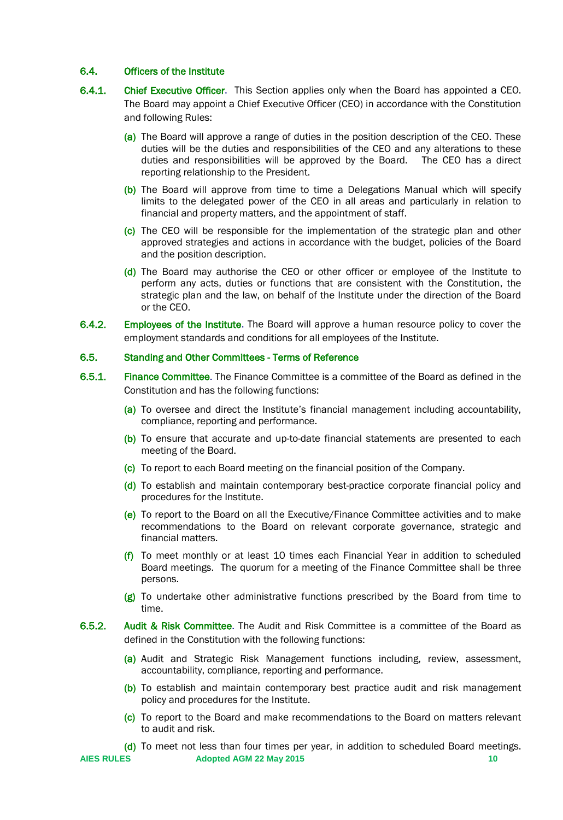#### <span id="page-9-0"></span>6.4. Officers of the Institute

- 6.4.1. Chief Executive Officer. This Section applies only when the Board has appointed a CEO. The Board may appoint a Chief Executive Officer (CEO) in accordance with the Constitution and following Rules:
	- (a) The Board will approve a range of duties in the position description of the CEO. These duties will be the duties and responsibilities of the CEO and any alterations to these duties and responsibilities will be approved by the Board. The CEO has a direct reporting relationship to the President.
	- (b) The Board will approve from time to time a Delegations Manual which will specify limits to the delegated power of the CEO in all areas and particularly in relation to financial and property matters, and the appointment of staff.
	- (c) The CEO will be responsible for the implementation of the strategic plan and other approved strategies and actions in accordance with the budget, policies of the Board and the position description.
	- (d) The Board may authorise the CEO or other officer or employee of the Institute to perform any acts, duties or functions that are consistent with the Constitution, the strategic plan and the law, on behalf of the Institute under the direction of the Board or the CEO.
- 6.4.2. Employees of the Institute. The Board will approve a human resource policy to cover the employment standards and conditions for all employees of the Institute.

#### <span id="page-9-1"></span>6.5. Standing and Other Committees - Terms of Reference

- 6.5.1. Finance Committee. The Finance Committee is a committee of the Board as defined in the Constitution and has the following functions:
	- (a) To oversee and direct the Institute's financial management including accountability, compliance, reporting and performance.
	- (b) To ensure that accurate and up-to-date financial statements are presented to each meeting of the Board.
	- (c) To report to each Board meeting on the financial position of the Company.
	- (d) To establish and maintain contemporary best-practice corporate financial policy and procedures for the Institute.
	- (e) To report to the Board on all the Executive/Finance Committee activities and to make recommendations to the Board on relevant corporate governance, strategic and financial matters.
	- ( $f$ ) To meet monthly or at least 10 times each Financial Year in addition to scheduled Board meetings. The quorum for a meeting of the Finance Committee shall be three persons.
	- (g) To undertake other administrative functions prescribed by the Board from time to time.
- 6.5.2. Audit & Risk Committee. The Audit and Risk Committee is a committee of the Board as defined in the Constitution with the following functions:
	- (a) Audit and Strategic Risk Management functions including, review, assessment, accountability, compliance, reporting and performance.
	- (b) To establish and maintain contemporary best practice audit and risk management policy and procedures for the Institute.
	- (c) To report to the Board and make recommendations to the Board on matters relevant to audit and risk.
	- (d) To meet not less than four times per year, in addition to scheduled Board meetings.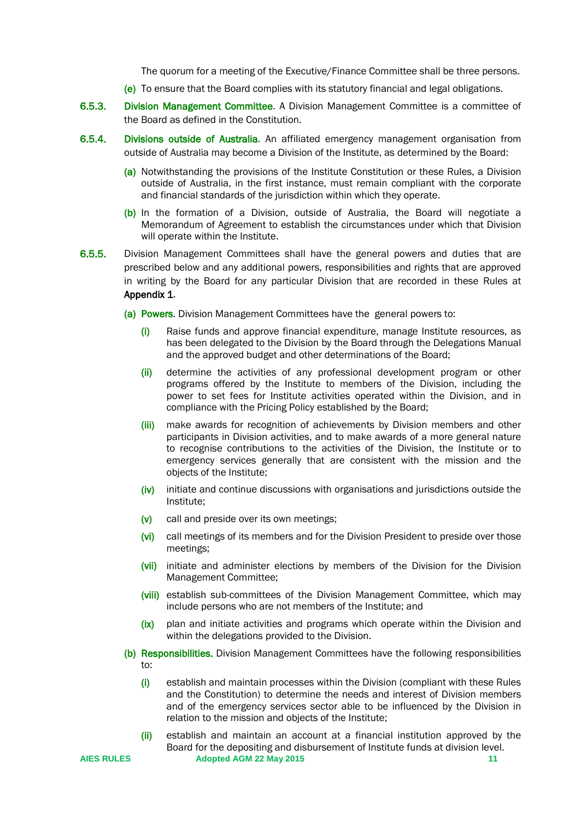The quorum for a meeting of the Executive/Finance Committee shall be three persons.

- (e) To ensure that the Board complies with its statutory financial and legal obligations.
- 6.5.3. Division Management Committee. A Division Management Committee is a committee of the Board as defined in the Constitution.
- 6.5.4. Divisions outside of Australia. An affiliated emergency management organisation from outside of Australia may become a Division of the Institute, as determined by the Board:
	- (a) Notwithstanding the provisions of the Institute Constitution or these Rules, a Division outside of Australia, in the first instance, must remain compliant with the corporate and financial standards of the jurisdiction within which they operate.
	- (b) In the formation of a Division, outside of Australia, the Board will negotiate a Memorandum of Agreement to establish the circumstances under which that Division will operate within the Institute.
- 6.5.5. Division Management Committees shall have the general powers and duties that are prescribed below and any additional powers, responsibilities and rights that are approved in writing by the Board for any particular Division that are recorded in these Rules at Appendix 1.
	- (a) Powers. Division Management Committees have the general powers to:
		- (i) Raise funds and approve financial expenditure, manage Institute resources, as has been delegated to the Division by the Board through the Delegations Manual and the approved budget and other determinations of the Board;
		- (ii) determine the activities of any professional development program or other programs offered by the Institute to members of the Division, including the power to set fees for Institute activities operated within the Division, and in compliance with the Pricing Policy established by the Board;
		- (iii) make awards for recognition of achievements by Division members and other participants in Division activities, and to make awards of a more general nature to recognise contributions to the activities of the Division, the Institute or to emergency services generally that are consistent with the mission and the objects of the Institute;
		- $(iv)$  initiate and continue discussions with organisations and jurisdictions outside the Institute;
		- (v) call and preside over its own meetings;
		- (vi) call meetings of its members and for the Division President to preside over those meetings;
		- (vii) initiate and administer elections by members of the Division for the Division Management Committee;
		- (viii) establish sub-committees of the Division Management Committee, which may include persons who are not members of the Institute; and
		- (ix) plan and initiate activities and programs which operate within the Division and within the delegations provided to the Division.
	- (b) Responsibilities. Division Management Committees have the following responsibilities to:
		- (i) establish and maintain processes within the Division (compliant with these Rules and the Constitution) to determine the needs and interest of Division members and of the emergency services sector able to be influenced by the Division in relation to the mission and objects of the Institute;
		- (ii) establish and maintain an account at a financial institution approved by the Board for the depositing and disbursement of Institute funds at division level.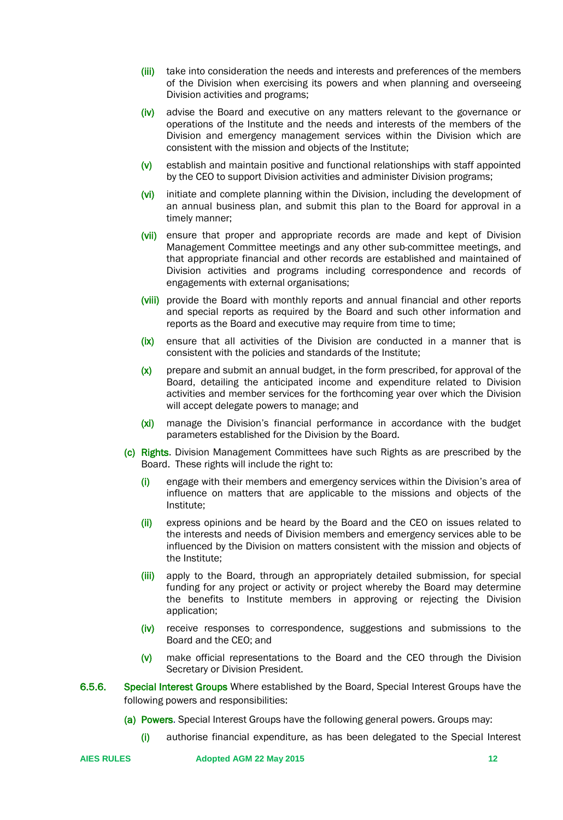- (iii) take into consideration the needs and interests and preferences of the members of the Division when exercising its powers and when planning and overseeing Division activities and programs;
- (iv) advise the Board and executive on any matters relevant to the governance or operations of the Institute and the needs and interests of the members of the Division and emergency management services within the Division which are consistent with the mission and objects of the Institute;
- (v) establish and maintain positive and functional relationships with staff appointed by the CEO to support Division activities and administer Division programs;
- (vi) initiate and complete planning within the Division, including the development of an annual business plan, and submit this plan to the Board for approval in a timely manner;
- (vii) ensure that proper and appropriate records are made and kept of Division Management Committee meetings and any other sub-committee meetings, and that appropriate financial and other records are established and maintained of Division activities and programs including correspondence and records of engagements with external organisations;
- (viii) provide the Board with monthly reports and annual financial and other reports and special reports as required by the Board and such other information and reports as the Board and executive may require from time to time;
- (ix) ensure that all activities of the Division are conducted in a manner that is consistent with the policies and standards of the Institute;
- (x) prepare and submit an annual budget, in the form prescribed, for approval of the Board, detailing the anticipated income and expenditure related to Division activities and member services for the forthcoming year over which the Division will accept delegate powers to manage; and
- (xi) manage the Division's financial performance in accordance with the budget parameters established for the Division by the Board.
- (c) Rights. Division Management Committees have such Rights as are prescribed by the Board. These rights will include the right to:
	- (i) engage with their members and emergency services within the Division's area of influence on matters that are applicable to the missions and objects of the Institute;
	- (ii) express opinions and be heard by the Board and the CEO on issues related to the interests and needs of Division members and emergency services able to be influenced by the Division on matters consistent with the mission and objects of the Institute;
	- (iii) apply to the Board, through an appropriately detailed submission, for special funding for any project or activity or project whereby the Board may determine the benefits to Institute members in approving or rejecting the Division application;
	- (iv) receive responses to correspondence, suggestions and submissions to the Board and the CEO; and
	- (v) make official representations to the Board and the CEO through the Division Secretary or Division President.
- 6.5.6. Special Interest Groups Where established by the Board, Special Interest Groups have the following powers and responsibilities:
	- (a) Powers. Special Interest Groups have the following general powers. Groups may:
		- (i) authorise financial expenditure, as has been delegated to the Special Interest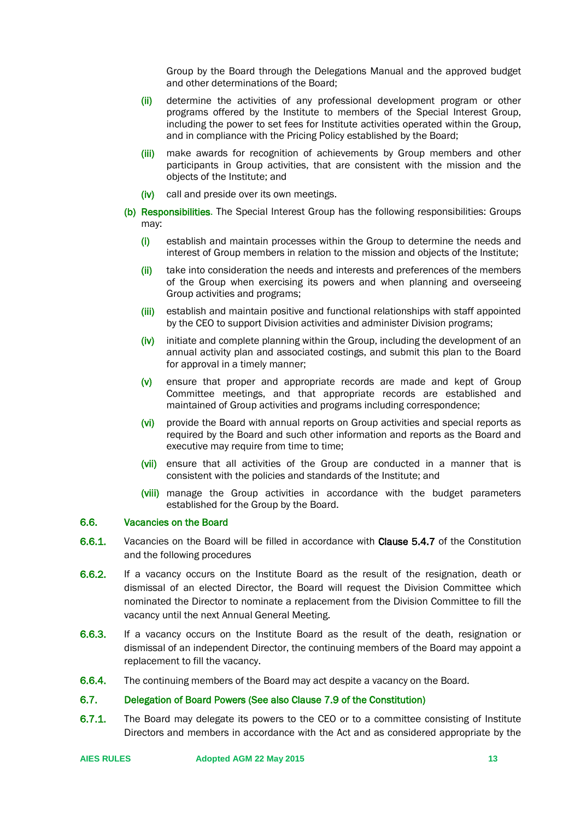Group by the Board through the Delegations Manual and the approved budget and other determinations of the Board;

- (ii) determine the activities of any professional development program or other programs offered by the Institute to members of the Special Interest Group, including the power to set fees for Institute activities operated within the Group, and in compliance with the Pricing Policy established by the Board;
- (iii) make awards for recognition of achievements by Group members and other participants in Group activities, that are consistent with the mission and the objects of the Institute; and
- (iv) call and preside over its own meetings.
- (b) Responsibilities. The Special Interest Group has the following responsibilities: Groups may:
	- (i) establish and maintain processes within the Group to determine the needs and interest of Group members in relation to the mission and objects of the Institute;
	- (ii) take into consideration the needs and interests and preferences of the members of the Group when exercising its powers and when planning and overseeing Group activities and programs;
	- (iii) establish and maintain positive and functional relationships with staff appointed by the CEO to support Division activities and administer Division programs;
	- $(iv)$  initiate and complete planning within the Group, including the development of an annual activity plan and associated costings, and submit this plan to the Board for approval in a timely manner;
	- (v) ensure that proper and appropriate records are made and kept of Group Committee meetings, and that appropriate records are established and maintained of Group activities and programs including correspondence;
	- (vi) provide the Board with annual reports on Group activities and special reports as required by the Board and such other information and reports as the Board and executive may require from time to time;
	- (vii) ensure that all activities of the Group are conducted in a manner that is consistent with the policies and standards of the Institute; and
	- (viii) manage the Group activities in accordance with the budget parameters established for the Group by the Board.

## <span id="page-12-0"></span>6.6. Vacancies on the Board

- 6.6.1. Vacancies on the Board will be filled in accordance with Clause 5.4.7 of the Constitution and the following procedures
- 6.6.2. If a vacancy occurs on the Institute Board as the result of the resignation, death or dismissal of an elected Director, the Board will request the Division Committee which nominated the Director to nominate a replacement from the Division Committee to fill the vacancy until the next Annual General Meeting.
- 6.6.3. If a vacancy occurs on the Institute Board as the result of the death, resignation or dismissal of an independent Director, the continuing members of the Board may appoint a replacement to fill the vacancy.
- 6.6.4. The continuing members of the Board may act despite a vacancy on the Board.

#### <span id="page-12-1"></span>6.7. Delegation of Board Powers (See also Clause 7.9 of the Constitution)

6.7.1. The Board may delegate its powers to the CEO or to a committee consisting of Institute Directors and members in accordance with the Act and as considered appropriate by the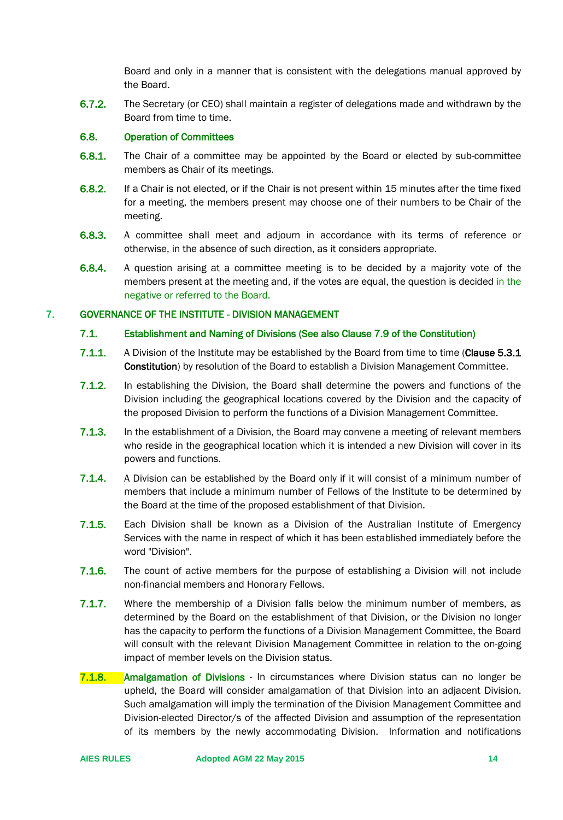Board and only in a manner that is consistent with the delegations manual approved by the Board.

6.7.2. The Secretary (or CEO) shall maintain a register of delegations made and withdrawn by the Board from time to time.

## <span id="page-13-0"></span>6.8. Operation of Committees

- 6.8.1. The Chair of a committee may be appointed by the Board or elected by sub-committee members as Chair of its meetings.
- 6.8.2. If a Chair is not elected, or if the Chair is not present within 15 minutes after the time fixed for a meeting, the members present may choose one of their numbers to be Chair of the meeting.
- 6.8.3. A committee shall meet and adjourn in accordance with its terms of reference or otherwise, in the absence of such direction, as it considers appropriate.
- 6.8.4. A question arising at a committee meeting is to be decided by a majority vote of the members present at the meeting and, if the votes are equal, the question is decided in the negative or referred to the Board.

#### <span id="page-13-2"></span><span id="page-13-1"></span>7. GOVERNANCE OF THE INSTITUTE - DIVISION MANAGEMENT

#### 7.1. Establishment and Naming of Divisions (See also Clause 7.9 of the Constitution)

- 7.1.1. A Division of the Institute may be established by the Board from time to time (Clause 5.3.1 Constitution) by resolution of the Board to establish a Division Management Committee.
- 7.1.2. In establishing the Division, the Board shall determine the powers and functions of the Division including the geographical locations covered by the Division and the capacity of the proposed Division to perform the functions of a Division Management Committee.
- 7.1.3. In the establishment of a Division, the Board may convene a meeting of relevant members who reside in the geographical location which it is intended a new Division will cover in its powers and functions.
- 7.1.4. A Division can be established by the Board only if it will consist of a minimum number of members that include a minimum number of Fellows of the Institute to be determined by the Board at the time of the proposed establishment of that Division.
- 7.1.5. Each Division shall be known as a Division of the Australian Institute of Emergency Services with the name in respect of which it has been established immediately before the word "Division".
- 7.1.6. The count of active members for the purpose of establishing a Division will not include non-financial members and Honorary Fellows.
- 7.1.7. Where the membership of a Division falls below the minimum number of members, as determined by the Board on the establishment of that Division, or the Division no longer has the capacity to perform the functions of a Division Management Committee, the Board will consult with the relevant Division Management Committee in relation to the on-going impact of member levels on the Division status.
- 7.1.8. Amalgamation of Divisions In circumstances where Division status can no longer be upheld, the Board will consider amalgamation of that Division into an adjacent Division. Such amalgamation will imply the termination of the Division Management Committee and Division-elected Director/s of the affected Division and assumption of the representation of its members by the newly accommodating Division. Information and notifications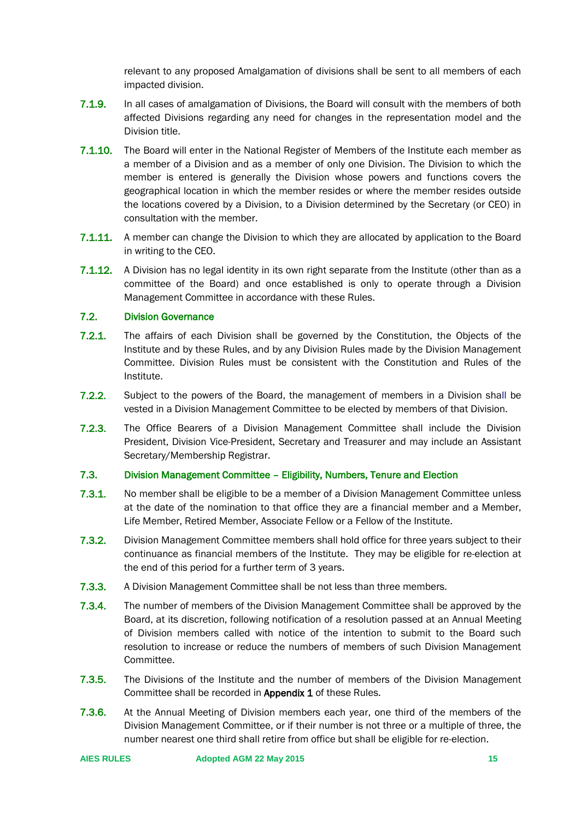relevant to any proposed Amalgamation of divisions shall be sent to all members of each impacted division.

- 7.1.9. In all cases of amalgamation of Divisions, the Board will consult with the members of both affected Divisions regarding any need for changes in the representation model and the Division title.
- 7.1.10. The Board will enter in the National Register of Members of the Institute each member as a member of a Division and as a member of only one Division. The Division to which the member is entered is generally the Division whose powers and functions covers the geographical location in which the member resides or where the member resides outside the locations covered by a Division, to a Division determined by the Secretary (or CEO) in consultation with the member.
- **7.1.11.** A member can change the Division to which they are allocated by application to the Board in writing to the CEO.
- 7.1.12. A Division has no legal identity in its own right separate from the Institute (other than as a committee of the Board) and once established is only to operate through a Division Management Committee in accordance with these Rules.

## <span id="page-14-0"></span>7.2. Division Governance

- 7.2.1. The affairs of each Division shall be governed by the Constitution, the Objects of the Institute and by these Rules, and by any Division Rules made by the Division Management Committee. Division Rules must be consistent with the Constitution and Rules of the Institute.
- 7.2.2. Subject to the powers of the Board, the management of members in a Division shall be vested in a Division Management Committee to be elected by members of that Division.
- 7.2.3. The Office Bearers of a Division Management Committee shall include the Division President, Division Vice-President, Secretary and Treasurer and may include an Assistant Secretary/Membership Registrar.

## <span id="page-14-1"></span>7.3. Division Management Committee – Eligibility, Numbers, Tenure and Election

- 7.3.1. No member shall be eligible to be a member of a Division Management Committee unless at the date of the nomination to that office they are a financial member and a Member, Life Member, Retired Member, Associate Fellow or a Fellow of the Institute.
- 7.3.2. Division Management Committee members shall hold office for three years subject to their continuance as financial members of the Institute. They may be eligible for re-election at the end of this period for a further term of 3 years.
- 7.3.3. A Division Management Committee shall be not less than three members.
- 7.3.4. The number of members of the Division Management Committee shall be approved by the Board, at its discretion, following notification of a resolution passed at an Annual Meeting of Division members called with notice of the intention to submit to the Board such resolution to increase or reduce the numbers of members of such Division Management Committee.
- 7.3.5. The Divisions of the Institute and the number of members of the Division Management Committee shall be recorded in Appendix 1 of these Rules.
- 7.3.6. At the Annual Meeting of Division members each year, one third of the members of the Division Management Committee, or if their number is not three or a multiple of three, the number nearest one third shall retire from office but shall be eligible for re-election.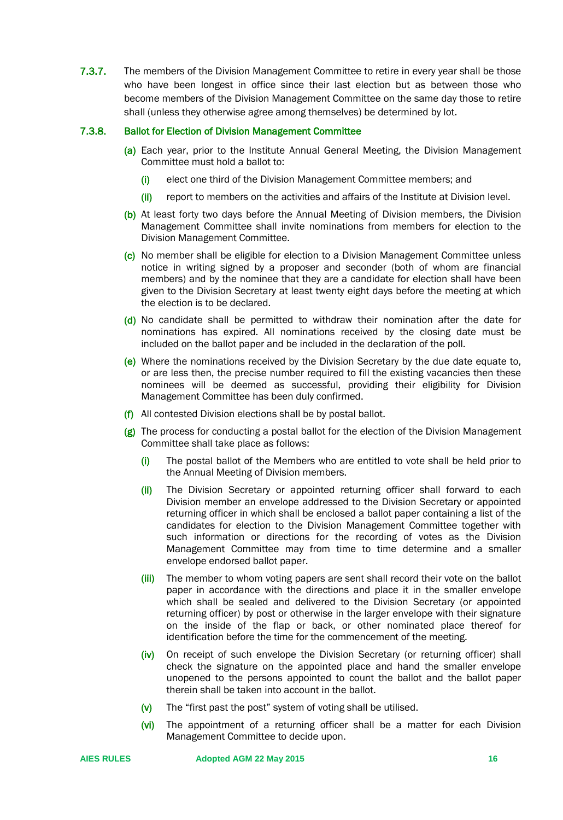7.3.7. The members of the Division Management Committee to retire in every year shall be those who have been longest in office since their last election but as between those who become members of the Division Management Committee on the same day those to retire shall (unless they otherwise agree among themselves) be determined by lot.

## 7.3.8. Ballot for Election of Division Management Committee

- (a) Each year, prior to the Institute Annual General Meeting, the Division Management Committee must hold a ballot to:
	- (i) elect one third of the Division Management Committee members; and
	- (ii) report to members on the activities and affairs of the Institute at Division level.
- (b) At least forty two days before the Annual Meeting of Division members, the Division Management Committee shall invite nominations from members for election to the Division Management Committee.
- (c) No member shall be eligible for election to a Division Management Committee unless notice in writing signed by a proposer and seconder (both of whom are financial members) and by the nominee that they are a candidate for election shall have been given to the Division Secretary at least twenty eight days before the meeting at which the election is to be declared.
- (d) No candidate shall be permitted to withdraw their nomination after the date for nominations has expired. All nominations received by the closing date must be included on the ballot paper and be included in the declaration of the poll.
- (e) Where the nominations received by the Division Secretary by the due date equate to, or are less then, the precise number required to fill the existing vacancies then these nominees will be deemed as successful, providing their eligibility for Division Management Committee has been duly confirmed.
- (f) All contested Division elections shall be by postal ballot.
- (g) The process for conducting a postal ballot for the election of the Division Management Committee shall take place as follows:
	- $(i)$  The postal ballot of the Members who are entitled to vote shall be held prior to the Annual Meeting of Division members.
	- (ii) The Division Secretary or appointed returning officer shall forward to each Division member an envelope addressed to the Division Secretary or appointed returning officer in which shall be enclosed a ballot paper containing a list of the candidates for election to the Division Management Committee together with such information or directions for the recording of votes as the Division Management Committee may from time to time determine and a smaller envelope endorsed ballot paper.
	- (iii) The member to whom voting papers are sent shall record their vote on the ballot paper in accordance with the directions and place it in the smaller envelope which shall be sealed and delivered to the Division Secretary (or appointed returning officer) by post or otherwise in the larger envelope with their signature on the inside of the flap or back, or other nominated place thereof for identification before the time for the commencement of the meeting.
	- (iv) On receipt of such envelope the Division Secretary (or returning officer) shall check the signature on the appointed place and hand the smaller envelope unopened to the persons appointed to count the ballot and the ballot paper therein shall be taken into account in the ballot.
	- (v) The "first past the post" system of voting shall be utilised.
	- (vi) The appointment of a returning officer shall be a matter for each Division Management Committee to decide upon.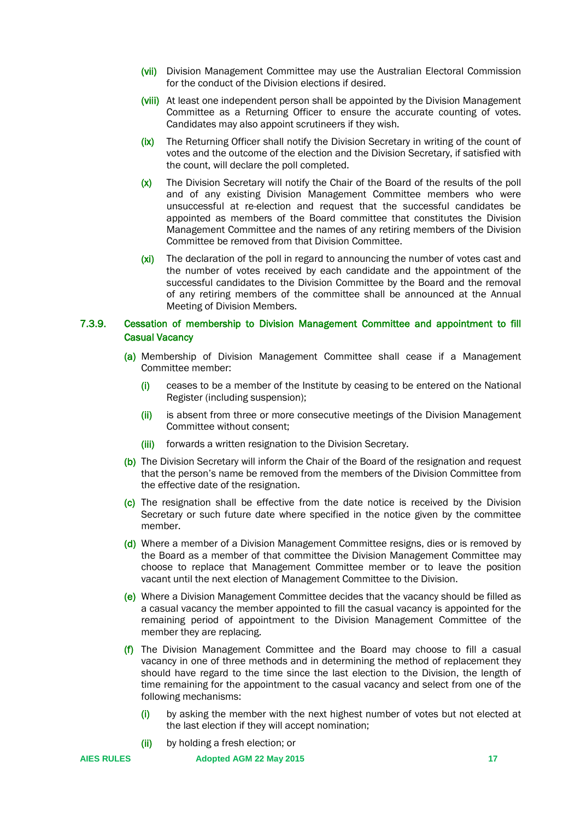- (vii) Division Management Committee may use the Australian Electoral Commission for the conduct of the Division elections if desired.
- (viii) At least one independent person shall be appointed by the Division Management Committee as a Returning Officer to ensure the accurate counting of votes. Candidates may also appoint scrutineers if they wish.
- (ix) The Returning Officer shall notify the Division Secretary in writing of the count of votes and the outcome of the election and the Division Secretary, if satisfied with the count, will declare the poll completed.
- (x) The Division Secretary will notify the Chair of the Board of the results of the poll and of any existing Division Management Committee members who were unsuccessful at re-election and request that the successful candidates be appointed as members of the Board committee that constitutes the Division Management Committee and the names of any retiring members of the Division Committee be removed from that Division Committee.
- (xi) The declaration of the poll in regard to announcing the number of votes cast and the number of votes received by each candidate and the appointment of the successful candidates to the Division Committee by the Board and the removal of any retiring members of the committee shall be announced at the Annual Meeting of Division Members.

## 7.3.9. Cessation of membership to Division Management Committee and appointment to fill Casual Vacancy

- (a) Membership of Division Management Committee shall cease if a Management Committee member:
	- (i) ceases to be a member of the Institute by ceasing to be entered on the National Register (including suspension);
	- (ii) is absent from three or more consecutive meetings of the Division Management Committee without consent;
	- (iii) forwards a written resignation to the Division Secretary.
- (b) The Division Secretary will inform the Chair of the Board of the resignation and request that the person's name be removed from the members of the Division Committee from the effective date of the resignation.
- (c) The resignation shall be effective from the date notice is received by the Division Secretary or such future date where specified in the notice given by the committee member.
- (d) Where a member of a Division Management Committee resigns, dies or is removed by the Board as a member of that committee the Division Management Committee may choose to replace that Management Committee member or to leave the position vacant until the next election of Management Committee to the Division.
- (e) Where a Division Management Committee decides that the vacancy should be filled as a casual vacancy the member appointed to fill the casual vacancy is appointed for the remaining period of appointment to the Division Management Committee of the member they are replacing.
- (f) The Division Management Committee and the Board may choose to fill a casual vacancy in one of three methods and in determining the method of replacement they should have regard to the time since the last election to the Division, the length of time remaining for the appointment to the casual vacancy and select from one of the following mechanisms:
	- (i) by asking the member with the next highest number of votes but not elected at the last election if they will accept nomination;
	- (ii) by holding a fresh election; or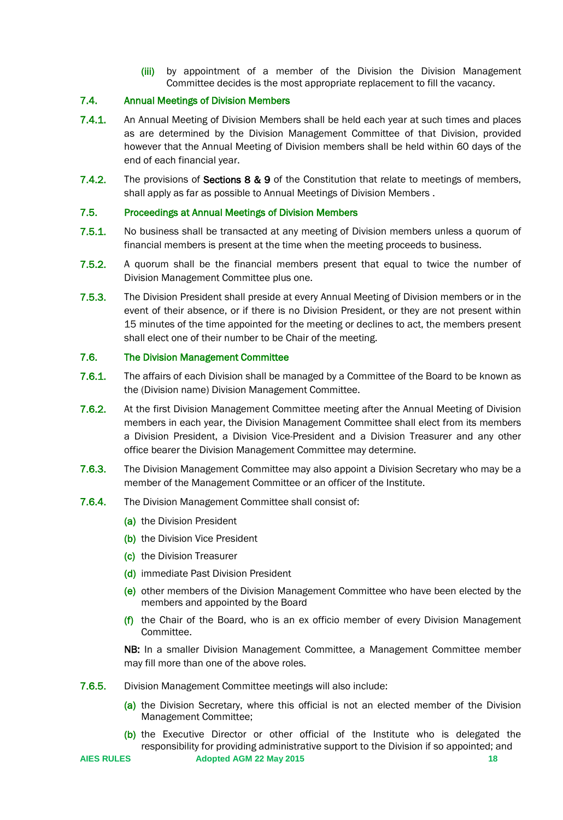(iii) by appointment of a member of the Division the Division Management Committee decides is the most appropriate replacement to fill the vacancy.

## <span id="page-17-0"></span>7.4. Annual Meetings of Division Members

- 7.4.1. An Annual Meeting of Division Members shall be held each year at such times and places as are determined by the Division Management Committee of that Division, provided however that the Annual Meeting of Division members shall be held within 60 days of the end of each financial year.
- 7.4.2. The provisions of Sections 8 & 9 of the Constitution that relate to meetings of members, shall apply as far as possible to Annual Meetings of Division Members .

## <span id="page-17-1"></span>7.5. Proceedings at Annual Meetings of Division Members

- 7.5.1. No business shall be transacted at any meeting of Division members unless a quorum of financial members is present at the time when the meeting proceeds to business.
- 7.5.2. A quorum shall be the financial members present that equal to twice the number of Division Management Committee plus one.
- 7.5.3. The Division President shall preside at every Annual Meeting of Division members or in the event of their absence, or if there is no Division President, or they are not present within 15 minutes of the time appointed for the meeting or declines to act, the members present shall elect one of their number to be Chair of the meeting.

## <span id="page-17-2"></span>7.6. The Division Management Committee

- 7.6.1. The affairs of each Division shall be managed by a Committee of the Board to be known as the (Division name) Division Management Committee.
- 7.6.2. At the first Division Management Committee meeting after the Annual Meeting of Division members in each year, the Division Management Committee shall elect from its members a Division President, a Division Vice-President and a Division Treasurer and any other office bearer the Division Management Committee may determine.
- 7.6.3. The Division Management Committee may also appoint a Division Secretary who may be a member of the Management Committee or an officer of the Institute.
- 7.6.4. The Division Management Committee shall consist of:
	- (a) the Division President
	- (b) the Division Vice President
	- (c) the Division Treasurer
	- (d) immediate Past Division President
	- (e) other members of the Division Management Committee who have been elected by the members and appointed by the Board
	- $(f)$  the Chair of the Board, who is an ex officio member of every Division Management Committee.

NB: In a smaller Division Management Committee, a Management Committee member may fill more than one of the above roles.

- 7.6.5. Division Management Committee meetings will also include:
	- (a) the Division Secretary, where this official is not an elected member of the Division Management Committee;
	- (b) the Executive Director or other official of the Institute who is delegated the responsibility for providing administrative support to the Division if so appointed; and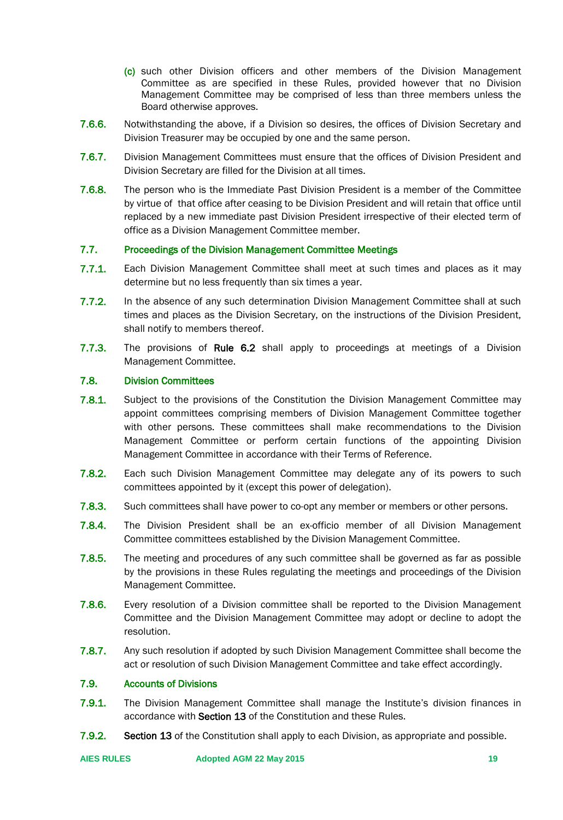- (c) such other Division officers and other members of the Division Management Committee as are specified in these Rules, provided however that no Division Management Committee may be comprised of less than three members unless the Board otherwise approves.
- 7.6.6. Notwithstanding the above, if a Division so desires, the offices of Division Secretary and Division Treasurer may be occupied by one and the same person.
- 7.6.7. Division Management Committees must ensure that the offices of Division President and Division Secretary are filled for the Division at all times.
- 7.6.8. The person who is the Immediate Past Division President is a member of the Committee by virtue of that office after ceasing to be Division President and will retain that office until replaced by a new immediate past Division President irrespective of their elected term of office as a Division Management Committee member.

## <span id="page-18-0"></span>7.7. Proceedings of the Division Management Committee Meetings

- 7.7.1. Each Division Management Committee shall meet at such times and places as it may determine but no less frequently than six times a year.
- 7.7.2. In the absence of any such determination Division Management Committee shall at such times and places as the Division Secretary, on the instructions of the Division President, shall notify to members thereof.
- 7.7.3. The provisions of Rule 6.2 shall apply to proceedings at meetings of a Division Management Committee.

## <span id="page-18-1"></span>7.8. Division Committees

- **7.8.1.** Subject to the provisions of the Constitution the Division Management Committee may appoint committees comprising members of Division Management Committee together with other persons. These committees shall make recommendations to the Division Management Committee or perform certain functions of the appointing Division Management Committee in accordance with their Terms of Reference.
- 7.8.2. Each such Division Management Committee may delegate any of its powers to such committees appointed by it (except this power of delegation).
- 7.8.3. Such committees shall have power to co-opt any member or members or other persons.
- 7.8.4. The Division President shall be an ex-officio member of all Division Management Committee committees established by the Division Management Committee.
- 7.8.5. The meeting and procedures of any such committee shall be governed as far as possible by the provisions in these Rules regulating the meetings and proceedings of the Division Management Committee.
- 7.8.6. Every resolution of a Division committee shall be reported to the Division Management Committee and the Division Management Committee may adopt or decline to adopt the resolution.
- **7.8.7.** Any such resolution if adopted by such Division Management Committee shall become the act or resolution of such Division Management Committee and take effect accordingly.

## <span id="page-18-2"></span>7.9. Accounts of Divisions

- 7.9.1. The Division Management Committee shall manage the Institute's division finances in accordance with Section 13 of the Constitution and these Rules.
- 7.9.2. Section 13 of the Constitution shall apply to each Division, as appropriate and possible.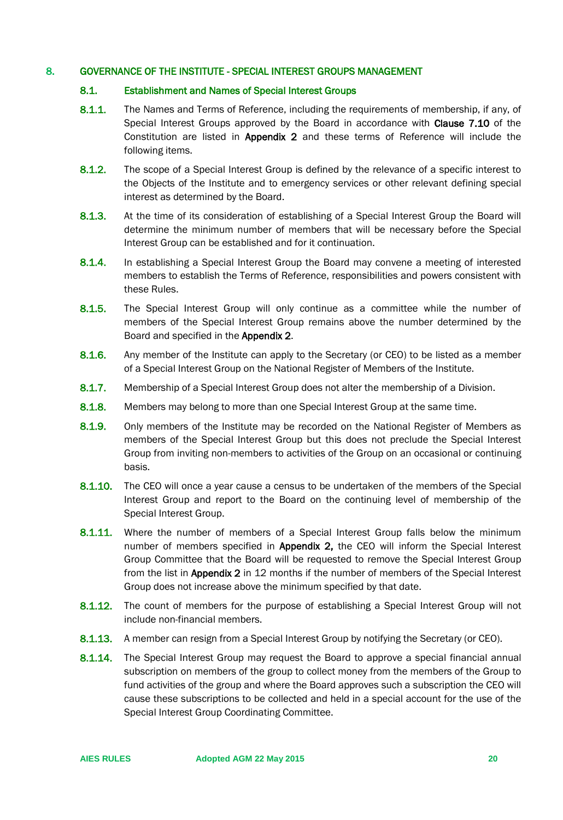## <span id="page-19-1"></span><span id="page-19-0"></span>8. GOVERNANCE OF THE INSTITUTE - SPECIAL INTEREST GROUPS MANAGEMENT

#### 8.1. Establishment and Names of Special Interest Groups

- 8.1.1. The Names and Terms of Reference, including the requirements of membership, if any, of Special Interest Groups approved by the Board in accordance with Clause 7.10 of the Constitution are listed in Appendix 2 and these terms of Reference will include the following items.
- 8.1.2. The scope of a Special Interest Group is defined by the relevance of a specific interest to the Objects of the Institute and to emergency services or other relevant defining special interest as determined by the Board.
- 8.1.3. At the time of its consideration of establishing of a Special Interest Group the Board will determine the minimum number of members that will be necessary before the Special Interest Group can be established and for it continuation.
- 8.1.4. In establishing a Special Interest Group the Board may convene a meeting of interested members to establish the Terms of Reference, responsibilities and powers consistent with these Rules.
- **8.1.5.** The Special Interest Group will only continue as a committee while the number of members of the Special Interest Group remains above the number determined by the Board and specified in the Appendix 2.
- 8.1.6. Any member of the Institute can apply to the Secretary (or CEO) to be listed as a member of a Special Interest Group on the National Register of Members of the Institute.
- 8.1.7. Membership of a Special Interest Group does not alter the membership of a Division.
- 8.1.8. Members may belong to more than one Special Interest Group at the same time.
- 8.1.9. Only members of the Institute may be recorded on the National Register of Members as members of the Special Interest Group but this does not preclude the Special Interest Group from inviting non-members to activities of the Group on an occasional or continuing basis.
- 8.1.10. The CEO will once a year cause a census to be undertaken of the members of the Special Interest Group and report to the Board on the continuing level of membership of the Special Interest Group.
- **8.1.11.** Where the number of members of a Special Interest Group falls below the minimum number of members specified in Appendix 2, the CEO will inform the Special Interest Group Committee that the Board will be requested to remove the Special Interest Group from the list in **Appendix 2** in 12 months if the number of members of the Special Interest Group does not increase above the minimum specified by that date.
- 8.1.12. The count of members for the purpose of establishing a Special Interest Group will not include non-financial members.
- 8.1.13. A member can resign from a Special Interest Group by notifying the Secretary (or CEO).
- 8.1.14. The Special Interest Group may request the Board to approve a special financial annual subscription on members of the group to collect money from the members of the Group to fund activities of the group and where the Board approves such a subscription the CEO will cause these subscriptions to be collected and held in a special account for the use of the Special Interest Group Coordinating Committee.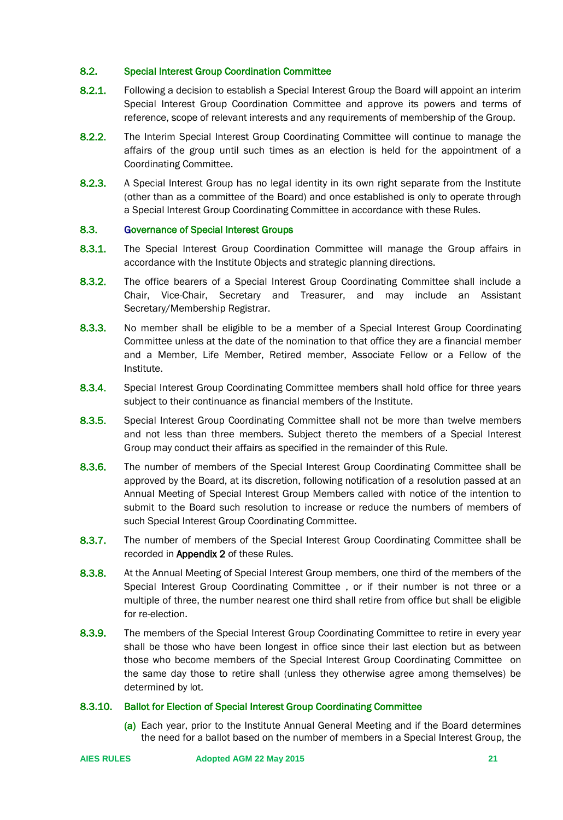## <span id="page-20-0"></span>8.2. Special Interest Group Coordination Committee

- 8.2.1. Following a decision to establish a Special Interest Group the Board will appoint an interim Special Interest Group Coordination Committee and approve its powers and terms of reference, scope of relevant interests and any requirements of membership of the Group.
- 8.2.2. The Interim Special Interest Group Coordinating Committee will continue to manage the affairs of the group until such times as an election is held for the appointment of a Coordinating Committee.
- 8.2.3. A Special Interest Group has no legal identity in its own right separate from the Institute (other than as a committee of the Board) and once established is only to operate through a Special Interest Group Coordinating Committee in accordance with these Rules.

#### <span id="page-20-1"></span>8.3. Governance of Special Interest Groups

- 8.3.1. The Special Interest Group Coordination Committee will manage the Group affairs in accordance with the Institute Objects and strategic planning directions.
- 8.3.2. The office bearers of a Special Interest Group Coordinating Committee shall include a Chair, Vice-Chair, Secretary and Treasurer, and may include an Assistant Secretary/Membership Registrar.
- 8.3.3. No member shall be eligible to be a member of a Special Interest Group Coordinating Committee unless at the date of the nomination to that office they are a financial member and a Member, Life Member, Retired member, Associate Fellow or a Fellow of the Institute.
- 8.3.4. Special Interest Group Coordinating Committee members shall hold office for three years subject to their continuance as financial members of the Institute.
- 8.3.5. Special Interest Group Coordinating Committee shall not be more than twelve members and not less than three members. Subject thereto the members of a Special Interest Group may conduct their affairs as specified in the remainder of this Rule.
- 8.3.6. The number of members of the Special Interest Group Coordinating Committee shall be approved by the Board, at its discretion, following notification of a resolution passed at an Annual Meeting of Special Interest Group Members called with notice of the intention to submit to the Board such resolution to increase or reduce the numbers of members of such Special Interest Group Coordinating Committee.
- 8.3.7. The number of members of the Special Interest Group Coordinating Committee shall be recorded in Appendix 2 of these Rules.
- 8.3.8. At the Annual Meeting of Special Interest Group members, one third of the members of the Special Interest Group Coordinating Committee , or if their number is not three or a multiple of three, the number nearest one third shall retire from office but shall be eligible for re-election.
- 8.3.9. The members of the Special Interest Group Coordinating Committee to retire in every year shall be those who have been longest in office since their last election but as between those who become members of the Special Interest Group Coordinating Committee on the same day those to retire shall (unless they otherwise agree among themselves) be determined by lot.

#### 8.3.10. Ballot for Election of Special Interest Group Coordinating Committee

(a) Each year, prior to the Institute Annual General Meeting and if the Board determines the need for a ballot based on the number of members in a Special Interest Group, the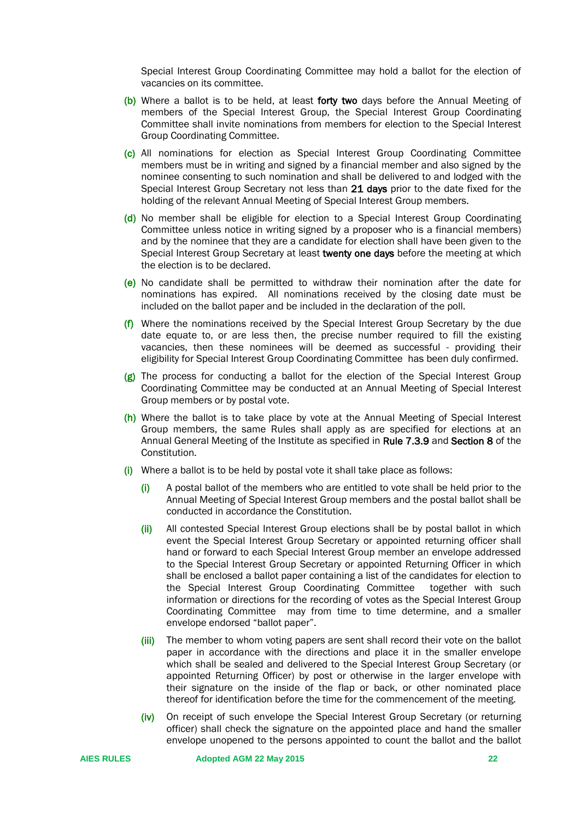Special Interest Group Coordinating Committee may hold a ballot for the election of vacancies on its committee.

- (b) Where a ballot is to be held, at least forty two days before the Annual Meeting of members of the Special Interest Group, the Special Interest Group Coordinating Committee shall invite nominations from members for election to the Special Interest Group Coordinating Committee.
- (c) All nominations for election as Special Interest Group Coordinating Committee members must be in writing and signed by a financial member and also signed by the nominee consenting to such nomination and shall be delivered to and lodged with the Special Interest Group Secretary not less than 21 days prior to the date fixed for the holding of the relevant Annual Meeting of Special Interest Group members.
- (d) No member shall be eligible for election to a Special Interest Group Coordinating Committee unless notice in writing signed by a proposer who is a financial members) and by the nominee that they are a candidate for election shall have been given to the Special Interest Group Secretary at least twenty one days before the meeting at which the election is to be declared.
- (e) No candidate shall be permitted to withdraw their nomination after the date for nominations has expired. All nominations received by the closing date must be included on the ballot paper and be included in the declaration of the poll.
- $(f)$  Where the nominations received by the Special Interest Group Secretary by the due date equate to, or are less then, the precise number required to fill the existing vacancies, then these nominees will be deemed as successful - providing their eligibility for Special Interest Group Coordinating Committee has been duly confirmed.
- (g) The process for conducting a ballot for the election of the Special Interest Group Coordinating Committee may be conducted at an Annual Meeting of Special Interest Group members or by postal vote.
- (h) Where the ballot is to take place by vote at the Annual Meeting of Special Interest Group members, the same Rules shall apply as are specified for elections at an Annual General Meeting of the Institute as specified in Rule 7.3.9 and Section 8 of the Constitution.
- $(i)$  Where a ballot is to be held by postal vote it shall take place as follows:
	- (i) A postal ballot of the members who are entitled to vote shall be held prior to the Annual Meeting of Special Interest Group members and the postal ballot shall be conducted in accordance the Constitution.
	- (ii) All contested Special Interest Group elections shall be by postal ballot in which event the Special Interest Group Secretary or appointed returning officer shall hand or forward to each Special Interest Group member an envelope addressed to the Special Interest Group Secretary or appointed Returning Officer in which shall be enclosed a ballot paper containing a list of the candidates for election to the Special Interest Group Coordinating Committee together with such information or directions for the recording of votes as the Special Interest Group Coordinating Committee may from time to time determine, and a smaller envelope endorsed "ballot paper".
	- (iii) The member to whom voting papers are sent shall record their vote on the ballot paper in accordance with the directions and place it in the smaller envelope which shall be sealed and delivered to the Special Interest Group Secretary (or appointed Returning Officer) by post or otherwise in the larger envelope with their signature on the inside of the flap or back, or other nominated place thereof for identification before the time for the commencement of the meeting.
	- (iv) On receipt of such envelope the Special Interest Group Secretary (or returning officer) shall check the signature on the appointed place and hand the smaller envelope unopened to the persons appointed to count the ballot and the ballot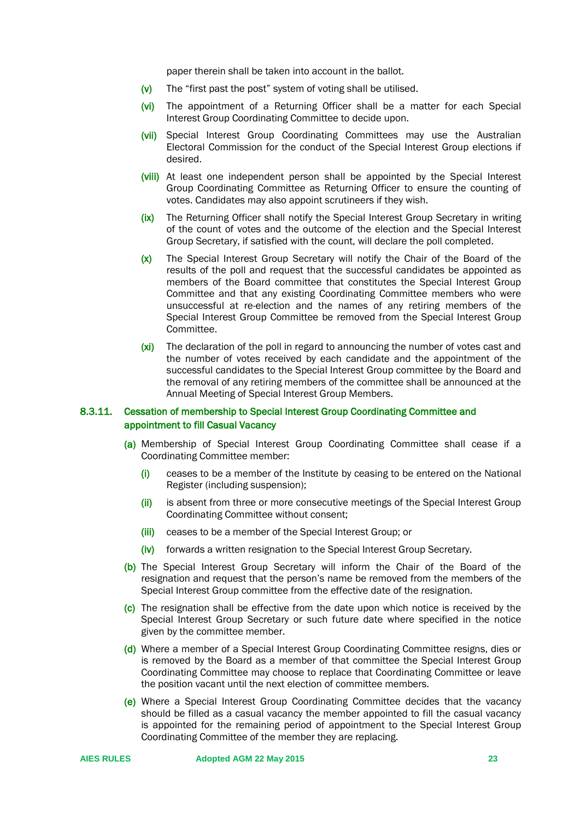paper therein shall be taken into account in the ballot.

- (v) The "first past the post" system of voting shall be utilised.
- (vi) The appointment of a Returning Officer shall be a matter for each Special Interest Group Coordinating Committee to decide upon.
- (vii) Special Interest Group Coordinating Committees may use the Australian Electoral Commission for the conduct of the Special Interest Group elections if desired.
- (viii) At least one independent person shall be appointed by the Special Interest Group Coordinating Committee as Returning Officer to ensure the counting of votes. Candidates may also appoint scrutineers if they wish.
- (ix) The Returning Officer shall notify the Special Interest Group Secretary in writing of the count of votes and the outcome of the election and the Special Interest Group Secretary, if satisfied with the count, will declare the poll completed.
- (x) The Special Interest Group Secretary will notify the Chair of the Board of the results of the poll and request that the successful candidates be appointed as members of the Board committee that constitutes the Special Interest Group Committee and that any existing Coordinating Committee members who were unsuccessful at re-election and the names of any retiring members of the Special Interest Group Committee be removed from the Special Interest Group Committee.
- (xi) The declaration of the poll in regard to announcing the number of votes cast and the number of votes received by each candidate and the appointment of the successful candidates to the Special Interest Group committee by the Board and the removal of any retiring members of the committee shall be announced at the Annual Meeting of Special Interest Group Members.

## 8.3.11. Cessation of membership to Special Interest Group Coordinating Committee and appointment to fill Casual Vacancy

- (a) Membership of Special Interest Group Coordinating Committee shall cease if a Coordinating Committee member:
	- $(i)$  ceases to be a member of the Institute by ceasing to be entered on the National Register (including suspension);
	- (ii) is absent from three or more consecutive meetings of the Special Interest Group Coordinating Committee without consent;
	- (iii) ceases to be a member of the Special Interest Group; or
	- (iv) forwards a written resignation to the Special Interest Group Secretary.
- (b) The Special Interest Group Secretary will inform the Chair of the Board of the resignation and request that the person's name be removed from the members of the Special Interest Group committee from the effective date of the resignation.
- (c) The resignation shall be effective from the date upon which notice is received by the Special Interest Group Secretary or such future date where specified in the notice given by the committee member.
- (d) Where a member of a Special Interest Group Coordinating Committee resigns, dies or is removed by the Board as a member of that committee the Special Interest Group Coordinating Committee may choose to replace that Coordinating Committee or leave the position vacant until the next election of committee members.
- (e) Where a Special Interest Group Coordinating Committee decides that the vacancy should be filled as a casual vacancy the member appointed to fill the casual vacancy is appointed for the remaining period of appointment to the Special Interest Group Coordinating Committee of the member they are replacing.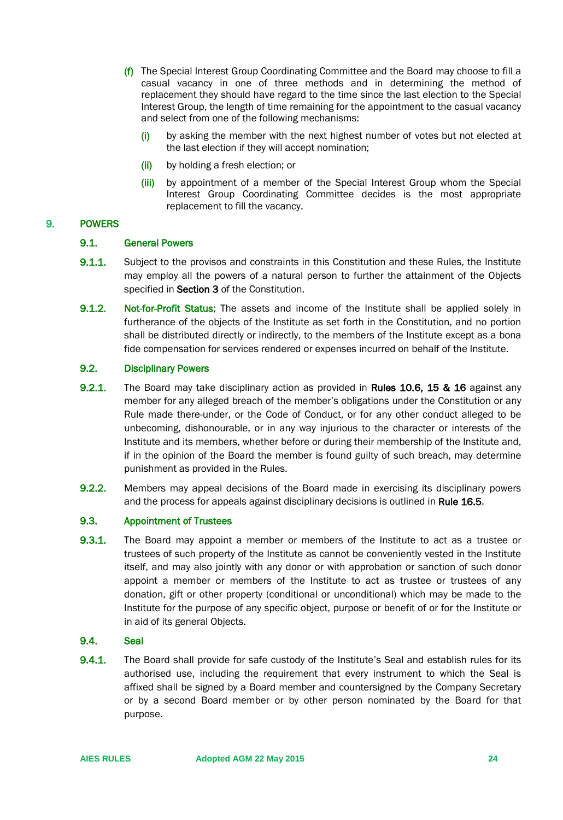- (f) The Special Interest Group Coordinating Committee and the Board may choose to fill a casual vacancy in one of three methods and in determining the method of replacement they should have regard to the time since the last election to the Special Interest Group, the length of time remaining for the appointment to the casual vacancy and select from one of the following mechanisms:
	- (i) by asking the member with the next highest number of votes but not elected at the last election if they will accept nomination;
	- (ii) by holding a fresh election; or
	- (iii) by appointment of a member of the Special Interest Group whom the Special Interest Group Coordinating Committee decides is the most appropriate replacement to fill the vacancy.

## <span id="page-23-1"></span><span id="page-23-0"></span>9. POWERS

## 9.1. General Powers

- 9.1.1. Subject to the provisos and constraints in this Constitution and these Rules, the Institute may employ all the powers of a natural person to further the attainment of the Objects specified in **Section 3** of the Constitution.
- 9.1.2. Not-for-Profit Status; The assets and income of the Institute shall be applied solely in furtherance of the objects of the Institute as set forth in the Constitution, and no portion shall be distributed directly or indirectly, to the members of the Institute except as a bona fide compensation for services rendered or expenses incurred on behalf of the Institute.

#### <span id="page-23-2"></span>9.2. Disciplinary Powers

- 9.2.1. The Board may take disciplinary action as provided in Rules 10.6, 15 & 16 against any member for any alleged breach of the member's obligations under the Constitution or any Rule made there-under, or the Code of Conduct, or for any other conduct alleged to be unbecoming, dishonourable, or in any way injurious to the character or interests of the Institute and its members, whether before or during their membership of the Institute and, if in the opinion of the Board the member is found guilty of such breach, may determine punishment as provided in the Rules.
- 9.2.2. Members may appeal decisions of the Board made in exercising its disciplinary powers and the process for appeals against disciplinary decisions is outlined in Rule 16.5.

## <span id="page-23-3"></span>9.3. Appointment of Trustees

9.3.1. The Board may appoint a member or members of the Institute to act as a trustee or trustees of such property of the Institute as cannot be conveniently vested in the Institute itself, and may also jointly with any donor or with approbation or sanction of such donor appoint a member or members of the Institute to act as trustee or trustees of any donation, gift or other property (conditional or unconditional) which may be made to the Institute for the purpose of any specific object, purpose or benefit of or for the Institute or in aid of its general Objects.

## <span id="page-23-4"></span>9.4. Seal

9.4.1. The Board shall provide for safe custody of the Institute's Seal and establish rules for its authorised use, including the requirement that every instrument to which the Seal is affixed shall be signed by a Board member and countersigned by the Company Secretary or by a second Board member or by other person nominated by the Board for that purpose.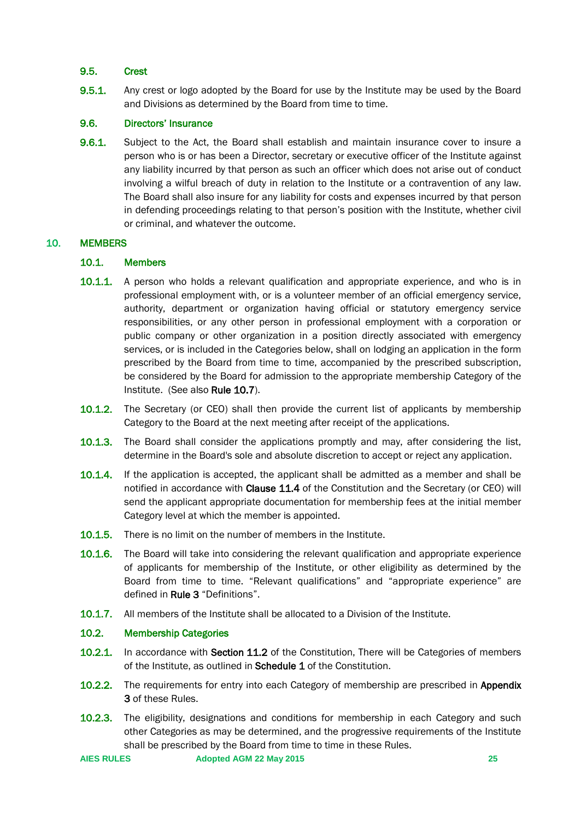## <span id="page-24-0"></span>9.5. Crest

**9.5.1.** Any crest or logo adopted by the Board for use by the Institute may be used by the Board and Divisions as determined by the Board from time to time.

## <span id="page-24-1"></span>9.6. Directors' Insurance

9.6.1. Subject to the Act, the Board shall establish and maintain insurance cover to insure a person who is or has been a Director, secretary or executive officer of the Institute against any liability incurred by that person as such an officer which does not arise out of conduct involving a wilful breach of duty in relation to the Institute or a contravention of any law. The Board shall also insure for any liability for costs and expenses incurred by that person in defending proceedings relating to that person's position with the Institute, whether civil or criminal, and whatever the outcome.

## <span id="page-24-3"></span><span id="page-24-2"></span>10. MEMBERS

## 10.1. Members

- **10.1.1.** A person who holds a relevant qualification and appropriate experience, and who is in professional employment with, or is a volunteer member of an official emergency service, authority, department or organization having official or statutory emergency service responsibilities, or any other person in professional employment with a corporation or public company or other organization in a position directly associated with emergency services, or is included in the Categories below, shall on lodging an application in the form prescribed by the Board from time to time, accompanied by the prescribed subscription, be considered by the Board for admission to the appropriate membership Category of the Institute. (See also Rule 10.7).
- **10.1.2.** The Secretary (or CEO) shall then provide the current list of applicants by membership Category to the Board at the next meeting after receipt of the applications.
- **10.1.3.** The Board shall consider the applications promptly and may, after considering the list, determine in the Board's sole and absolute discretion to accept or reject any application.
- **10.1.4.** If the application is accepted, the applicant shall be admitted as a member and shall be notified in accordance with Clause 11.4 of the Constitution and the Secretary (or CEO) will send the applicant appropriate documentation for membership fees at the initial member Category level at which the member is appointed.
- **10.1.5.** There is no limit on the number of members in the Institute.
- **10.1.6.** The Board will take into considering the relevant qualification and appropriate experience of applicants for membership of the Institute, or other eligibility as determined by the Board from time to time. "Relevant qualifications" and "appropriate experience" are defined in Rule 3 "Definitions".
- 10.1.7. All members of the Institute shall be allocated to a Division of the Institute.

## <span id="page-24-4"></span>10.2. Membership Categories

- 10.2.1. In accordance with Section 11.2 of the Constitution, There will be Categories of members of the Institute, as outlined in Schedule 1 of the Constitution.
- **10.2.2.** The requirements for entry into each Category of membership are prescribed in Appendix 3 of these Rules.
- 10.2.3. The eligibility, designations and conditions for membership in each Category and such other Categories as may be determined, and the progressive requirements of the Institute shall be prescribed by the Board from time to time in these Rules.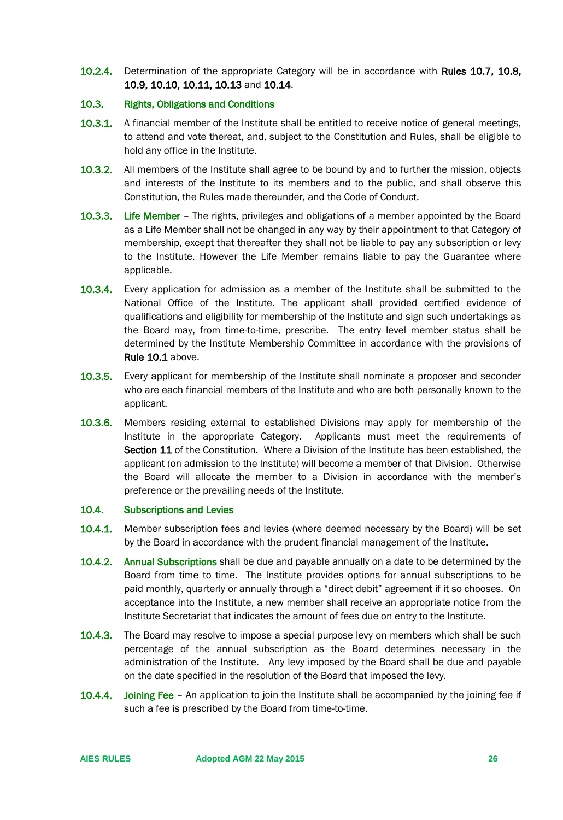10.2.4. Determination of the appropriate Category will be in accordance with Rules 10.7, 10.8, 10.9, 10.10, 10.11, 10.13 and 10.14.

## <span id="page-25-0"></span>10.3. Rights, Obligations and Conditions

- 10.3.1. A financial member of the Institute shall be entitled to receive notice of general meetings, to attend and vote thereat, and, subject to the Constitution and Rules, shall be eligible to hold any office in the Institute.
- **10.3.2.** All members of the Institute shall agree to be bound by and to further the mission, objects and interests of the Institute to its members and to the public, and shall observe this Constitution, the Rules made thereunder, and the Code of Conduct.
- 10.3.3. Life Member The rights, privileges and obligations of a member appointed by the Board as a Life Member shall not be changed in any way by their appointment to that Category of membership, except that thereafter they shall not be liable to pay any subscription or levy to the Institute. However the Life Member remains liable to pay the Guarantee where applicable.
- **10.3.4.** Every application for admission as a member of the Institute shall be submitted to the National Office of the Institute. The applicant shall provided certified evidence of qualifications and eligibility for membership of the Institute and sign such undertakings as the Board may, from time-to-time, prescribe. The entry level member status shall be determined by the Institute Membership Committee in accordance with the provisions of Rule [10.1](#page-24-3) above.
- **10.3.5.** Every applicant for membership of the Institute shall nominate a proposer and seconder who are each financial members of the Institute and who are both personally known to the applicant.
- **10.3.6.** Members residing external to established Divisions may apply for membership of the Institute in the appropriate Category. Applicants must meet the requirements of Section 11 of the Constitution. Where a Division of the Institute has been established, the applicant (on admission to the Institute) will become a member of that Division. Otherwise the Board will allocate the member to a Division in accordance with the member's preference or the prevailing needs of the Institute.

## <span id="page-25-1"></span>10.4. Subscriptions and Levies

- **10.4.1.** Member subscription fees and levies (where deemed necessary by the Board) will be set by the Board in accordance with the prudent financial management of the Institute.
- 10.4.2. Annual Subscriptions shall be due and payable annually on a date to be determined by the Board from time to time. The Institute provides options for annual subscriptions to be paid monthly, quarterly or annually through a "direct debit" agreement if it so chooses. On acceptance into the Institute, a new member shall receive an appropriate notice from the Institute Secretariat that indicates the amount of fees due on entry to the Institute.
- 10.4.3. The Board may resolve to impose a special purpose levy on members which shall be such percentage of the annual subscription as the Board determines necessary in the administration of the Institute. Any levy imposed by the Board shall be due and payable on the date specified in the resolution of the Board that imposed the levy.
- 10.4.4. Joining Fee An application to join the Institute shall be accompanied by the joining fee if such a fee is prescribed by the Board from time-to-time.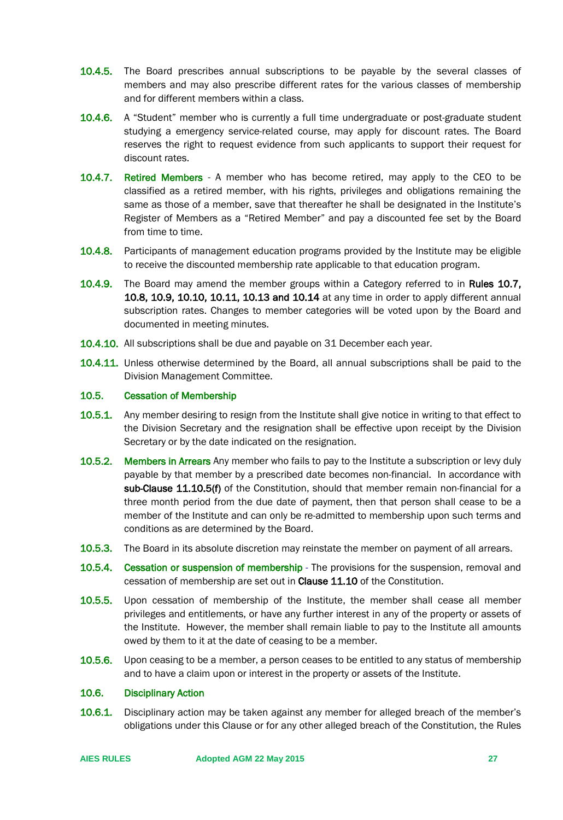- **10.4.5.** The Board prescribes annual subscriptions to be payable by the several classes of members and may also prescribe different rates for the various classes of membership and for different members within a class.
- **10.4.6.** A "Student" member who is currently a full time undergraduate or post-graduate student studying a emergency service-related course, may apply for discount rates. The Board reserves the right to request evidence from such applicants to support their request for discount rates.
- 10.4.7. Retired Members A member who has become retired, may apply to the CEO to be classified as a retired member, with his rights, privileges and obligations remaining the same as those of a member, save that thereafter he shall be designated in the Institute's Register of Members as a "Retired Member" and pay a discounted fee set by the Board from time to time.
- **10.4.8.** Participants of management education programs provided by the Institute may be eligible to receive the discounted membership rate applicable to that education program.
- 10.4.9. The Board may amend the member groups within a Category referred to in Rules 10.7, 10.8, 10.9, 10.10, 10.11, 10.13 and 10.14 at any time in order to apply different annual subscription rates. Changes to member categories will be voted upon by the Board and documented in meeting minutes.
- 10.4.10. All subscriptions shall be due and payable on 31 December each year.
- 10.4.11. Unless otherwise determined by the Board, all annual subscriptions shall be paid to the Division Management Committee.

### <span id="page-26-0"></span>10.5. Cessation of Membership

- **10.5.1.** Any member desiring to resign from the Institute shall give notice in writing to that effect to the Division Secretary and the resignation shall be effective upon receipt by the Division Secretary or by the date indicated on the resignation.
- **10.5.2.** Members in Arrears Any member who fails to pay to the Institute a subscription or levy duly payable by that member by a prescribed date becomes non-financial. In accordance with sub-Clause 11.10.5(f) of the Constitution, should that member remain non-financial for a three month period from the due date of payment, then that person shall cease to be a member of the Institute and can only be re-admitted to membership upon such terms and conditions as are determined by the Board.
- 10.5.3. The Board in its absolute discretion may reinstate the member on payment of all arrears.
- **10.5.4.** Cessation or suspension of membership The provisions for the suspension, removal and cessation of membership are set out in Clause 11.10 of the Constitution.
- 10.5.5. Upon cessation of membership of the Institute, the member shall cease all member privileges and entitlements, or have any further interest in any of the property or assets of the Institute. However, the member shall remain liable to pay to the Institute all amounts owed by them to it at the date of ceasing to be a member.
- **10.5.6.** Upon ceasing to be a member, a person ceases to be entitled to any status of membership and to have a claim upon or interest in the property or assets of the Institute.

## <span id="page-26-1"></span>10.6. Disciplinary Action

10.6.1. Disciplinary action may be taken against any member for alleged breach of the member's obligations under this Clause or for any other alleged breach of the Constitution, the Rules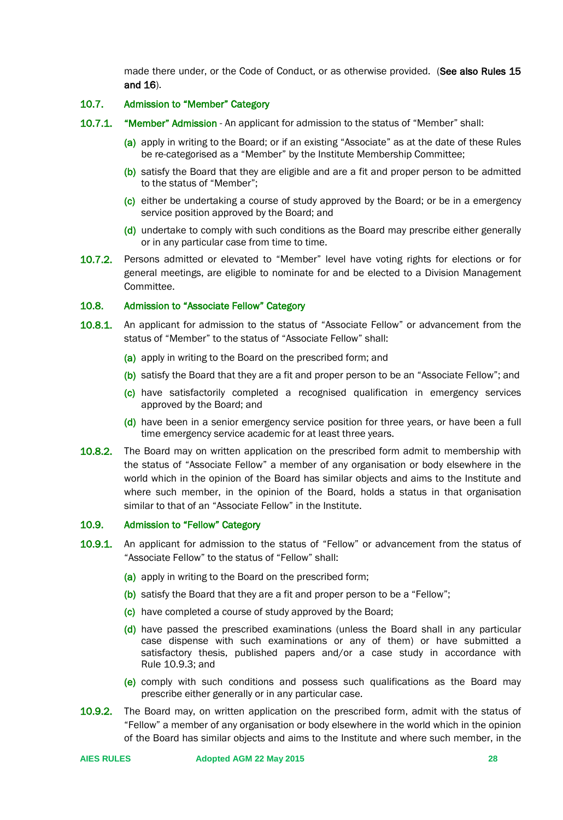made there under, or the Code of Conduct, or as otherwise provided. (See also Rules 15 and 16).

## <span id="page-27-0"></span>10.7. Admission to "Member" Category

- 10.7.1. "Member" Admission An applicant for admission to the status of "Member" shall:
	- (a) apply in writing to the Board; or if an existing "Associate" as at the date of these Rules be re-categorised as a "Member" by the Institute Membership Committee;
	- (b) satisfy the Board that they are eligible and are a fit and proper person to be admitted to the status of "Member";
	- (c) either be undertaking a course of study approved by the Board; or be in a emergency service position approved by the Board; and
	- (d) undertake to comply with such conditions as the Board may prescribe either generally or in any particular case from time to time.
- 10.7.2. Persons admitted or elevated to "Member" level have voting rights for elections or for general meetings, are eligible to nominate for and be elected to a Division Management Committee.

#### <span id="page-27-1"></span>10.8. Admission to "Associate Fellow" Category

- **10.8.1.** An applicant for admission to the status of "Associate Fellow" or advancement from the status of "Member" to the status of "Associate Fellow" shall:
	- (a) apply in writing to the Board on the prescribed form; and
	- (b) satisfy the Board that they are a fit and proper person to be an "Associate Fellow"; and
	- (c) have satisfactorily completed a recognised qualification in emergency services approved by the Board; and
	- (d) have been in a senior emergency service position for three years, or have been a full time emergency service academic for at least three years.
- **10.8.2.** The Board may on written application on the prescribed form admit to membership with the status of "Associate Fellow" a member of any organisation or body elsewhere in the world which in the opinion of the Board has similar objects and aims to the Institute and where such member, in the opinion of the Board, holds a status in that organisation similar to that of an "Associate Fellow" in the Institute.

#### <span id="page-27-2"></span>10.9. Admission to "Fellow" Category

- 10.9.1. An applicant for admission to the status of "Fellow" or advancement from the status of "Associate Fellow" to the status of "Fellow" shall:
	- (a) apply in writing to the Board on the prescribed form;
	- (b) satisfy the Board that they are a fit and proper person to be a "Fellow";
	- (c) have completed a course of study approved by the Board;
	- (d) have passed the prescribed examinations (unless the Board shall in any particular case dispense with such examinations or any of them) or have submitted a satisfactory thesis, published papers and/or a case study in accordance with Rule 10.9.3; and
	- (e) comply with such conditions and possess such qualifications as the Board may prescribe either generally or in any particular case.
- **10.9.2.** The Board may, on written application on the prescribed form, admit with the status of "Fellow" a member of any organisation or body elsewhere in the world which in the opinion of the Board has similar objects and aims to the Institute and where such member, in the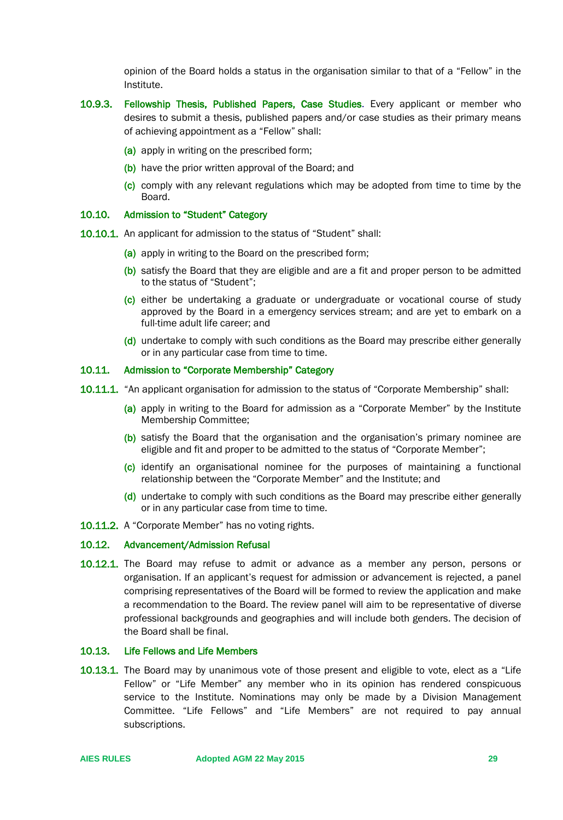opinion of the Board holds a status in the organisation similar to that of a "Fellow" in the Institute.

- 10.9.3. Fellowship Thesis, Published Papers, Case Studies. Every applicant or member who desires to submit a thesis, published papers and/or case studies as their primary means of achieving appointment as a "Fellow" shall:
	- (a) apply in writing on the prescribed form;
	- (b) have the prior written approval of the Board; and
	- (c) comply with any relevant regulations which may be adopted from time to time by the Board.

## <span id="page-28-0"></span>10.10. Admission to "Student" Category

- 10.10.1. An applicant for admission to the status of "Student" shall:
	- (a) apply in writing to the Board on the prescribed form;
	- (b) satisfy the Board that they are eligible and are a fit and proper person to be admitted to the status of "Student";
	- (c) either be undertaking a graduate or undergraduate or vocational course of study approved by the Board in a emergency services stream; and are yet to embark on a full-time adult life career; and
	- (d) undertake to comply with such conditions as the Board may prescribe either generally or in any particular case from time to time.

## <span id="page-28-1"></span>10.11. Admission to "Corporate Membership" Category

- 10.11.1. "An applicant organisation for admission to the status of "Corporate Membership" shall:
	- (a) apply in writing to the Board for admission as a "Corporate Member" by the Institute Membership Committee;
	- (b) satisfy the Board that the organisation and the organisation's primary nominee are eligible and fit and proper to be admitted to the status of "Corporate Member";
	- (c) identify an organisational nominee for the purposes of maintaining a functional relationship between the "Corporate Member" and the Institute; and
	- (d) undertake to comply with such conditions as the Board may prescribe either generally or in any particular case from time to time.
- 10.11.2. A "Corporate Member" has no voting rights.

#### <span id="page-28-2"></span>10.12. Advancement/Admission Refusal

10.12.1. The Board may refuse to admit or advance as a member any person, persons or organisation. If an applicant's request for admission or advancement is rejected, a panel comprising representatives of the Board will be formed to review the application and make a recommendation to the Board. The review panel will aim to be representative of diverse professional backgrounds and geographies and will include both genders. The decision of the Board shall be final.

#### <span id="page-28-3"></span>10.13. Life Fellows and Life Members

10.13.1. The Board may by unanimous vote of those present and eligible to vote, elect as a "Life Fellow" or "Life Member" any member who in its opinion has rendered conspicuous service to the Institute. Nominations may only be made by a Division Management Committee. "Life Fellows" and "Life Members" are not required to pay annual subscriptions.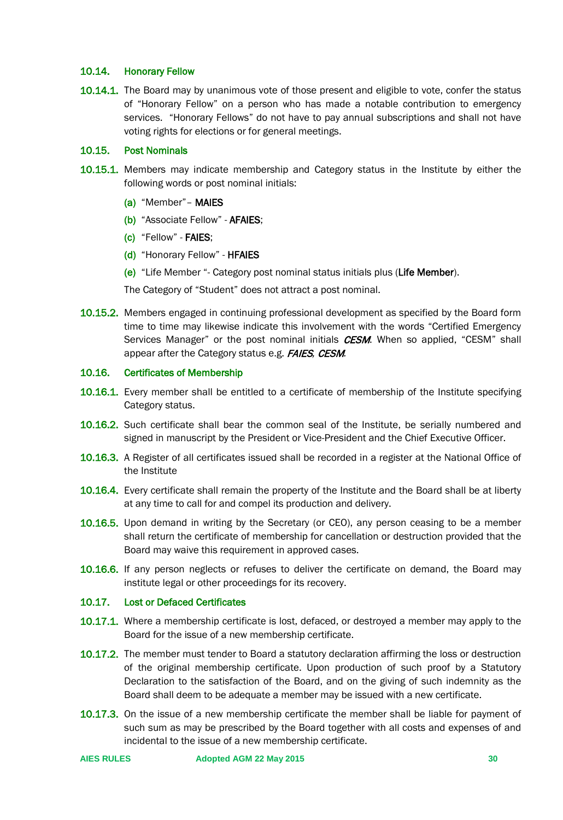## <span id="page-29-0"></span>10.14. Honorary Fellow

10.14.1. The Board may by unanimous vote of those present and eligible to vote, confer the status of "Honorary Fellow" on a person who has made a notable contribution to emergency services. "Honorary Fellows" do not have to pay annual subscriptions and shall not have voting rights for elections or for general meetings.

#### <span id="page-29-1"></span>10.15. Post Nominals

- 10.15.1. Members may indicate membership and Category status in the Institute by either the following words or post nominal initials:
	- (a) "Member"– MAIES
	- (b) "Associate Fellow" AFAIES;
	- (c) "Fellow" FAIES;
	- (d) "Honorary Fellow" HFAIES
	- (e) "Life Member "- Category post nominal status initials plus (Life Member).

The Category of "Student" does not attract a post nominal.

10.15.2. Members engaged in continuing professional development as specified by the Board form time to time may likewise indicate this involvement with the words "Certified Emergency Services Manager" or the post nominal initials **CESM**. When so applied, "CESM" shall appear after the Category status e.g. FAIES*,* CESM*.*

#### <span id="page-29-2"></span>10.16. Certificates of Membership

- 10.16.1. Every member shall be entitled to a certificate of membership of the Institute specifying Category status.
- 10.16.2. Such certificate shall bear the common seal of the Institute, be serially numbered and signed in manuscript by the President or Vice-President and the Chief Executive Officer.
- 10.16.3. A Register of all certificates issued shall be recorded in a register at the National Office of the Institute
- 10.16.4. Every certificate shall remain the property of the Institute and the Board shall be at liberty at any time to call for and compel its production and delivery.
- 10.16.5. Upon demand in writing by the Secretary (or CEO), any person ceasing to be a member shall return the certificate of membership for cancellation or destruction provided that the Board may waive this requirement in approved cases.
- 10.16.6. If any person neglects or refuses to deliver the certificate on demand, the Board may institute legal or other proceedings for its recovery.

## <span id="page-29-3"></span>10.17. Lost or Defaced Certificates

- **10.17.1.** Where a membership certificate is lost, defaced, or destroyed a member may apply to the Board for the issue of a new membership certificate.
- 10.17.2. The member must tender to Board a statutory declaration affirming the loss or destruction of the original membership certificate. Upon production of such proof by a Statutory Declaration to the satisfaction of the Board, and on the giving of such indemnity as the Board shall deem to be adequate a member may be issued with a new certificate.
- 10.17.3. On the issue of a new membership certificate the member shall be liable for payment of such sum as may be prescribed by the Board together with all costs and expenses of and incidental to the issue of a new membership certificate.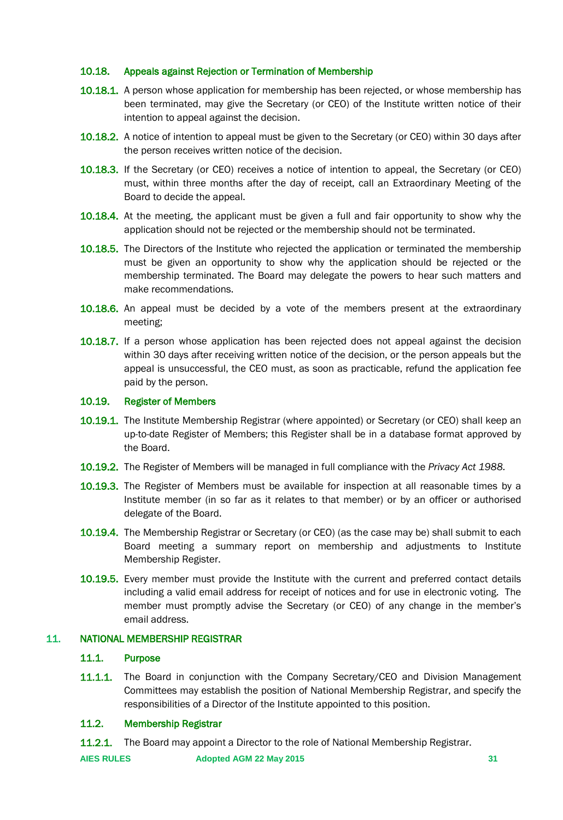## <span id="page-30-0"></span>10.18. Appeals against Rejection or Termination of Membership

- **10.18.1.** A person whose application for membership has been rejected, or whose membership has been terminated, may give the Secretary (or CEO) of the Institute written notice of their intention to appeal against the decision.
- 10.18.2. A notice of intention to appeal must be given to the Secretary (or CEO) within 30 days after the person receives written notice of the decision.
- 10.18.3. If the Secretary (or CEO) receives a notice of intention to appeal, the Secretary (or CEO) must, within three months after the day of receipt, call an Extraordinary Meeting of the Board to decide the appeal.
- 10.18.4. At the meeting, the applicant must be given a full and fair opportunity to show why the application should not be rejected or the membership should not be terminated.
- **10.18.5.** The Directors of the Institute who rejected the application or terminated the membership must be given an opportunity to show why the application should be rejected or the membership terminated. The Board may delegate the powers to hear such matters and make recommendations.
- **10.18.6.** An appeal must be decided by a vote of the members present at the extraordinary meeting;
- 10.18.7. If a person whose application has been rejected does not appeal against the decision within 30 days after receiving written notice of the decision, or the person appeals but the appeal is unsuccessful, the CEO must, as soon as practicable, refund the application fee paid by the person.

## <span id="page-30-1"></span>10.19. Register of Members

- 10.19.1. The Institute Membership Registrar (where appointed) or Secretary (or CEO) shall keep an up-to-date Register of Members; this Register shall be in a database format approved by the Board.
- 10.19.2. The Register of Members will be managed in full compliance with the *Privacy Act 1988.*
- **10.19.3.** The Register of Members must be available for inspection at all reasonable times by a Institute member (in so far as it relates to that member) or by an officer or authorised delegate of the Board.
- 10.19.4. The Membership Registrar or Secretary (or CEO) (as the case may be) shall submit to each Board meeting a summary report on membership and adjustments to Institute Membership Register.
- 10.19.5. Every member must provide the Institute with the current and preferred contact details including a valid email address for receipt of notices and for use in electronic voting. The member must promptly advise the Secretary (or CEO) of any change in the member's email address.

## <span id="page-30-3"></span><span id="page-30-2"></span>11. NATIONAL MEMBERSHIP REGISTRAR

#### 11.1. Purpose

**11.1.1.** The Board in conjunction with the Company Secretary/CEO and Division Management Committees may establish the position of National Membership Registrar, and specify the responsibilities of a Director of the Institute appointed to this position.

## <span id="page-30-4"></span>11.2. Membership Registrar

**11.2.1.** The Board may appoint a Director to the role of National Membership Registrar.

**AIES RULES Adopted AGM 22 May 2015 31**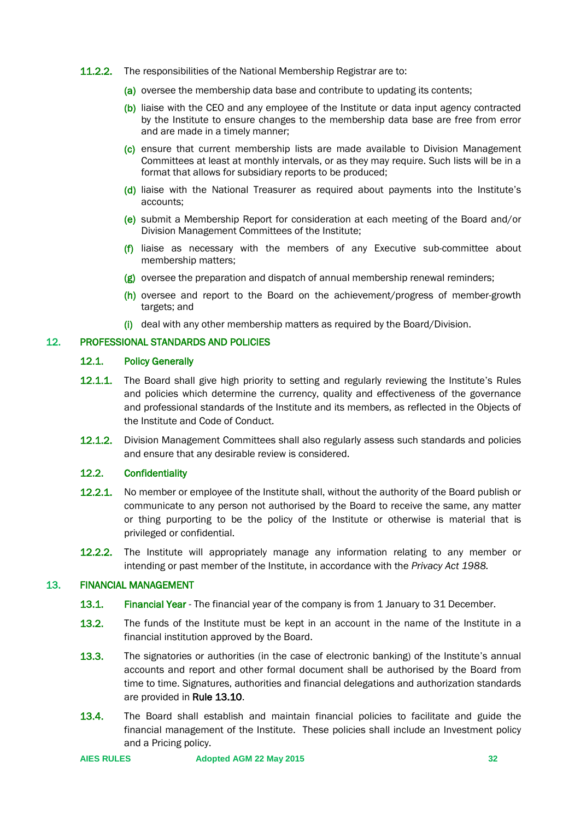- 11.2.2. The responsibilities of the National Membership Registrar are to:
	- (a) oversee the membership data base and contribute to updating its contents;
	- (b) liaise with the CEO and any employee of the Institute or data input agency contracted by the Institute to ensure changes to the membership data base are free from error and are made in a timely manner;
	- (c) ensure that current membership lists are made available to Division Management Committees at least at monthly intervals, or as they may require. Such lists will be in a format that allows for subsidiary reports to be produced;
	- (d) liaise with the National Treasurer as required about payments into the Institute's accounts;
	- (e) submit a Membership Report for consideration at each meeting of the Board and/or Division Management Committees of the Institute;
	- $(f)$  liaise as necessary with the members of any Executive sub-committee about membership matters;
	- (g) oversee the preparation and dispatch of annual membership renewal reminders;
	- (h) oversee and report to the Board on the achievement/progress of member-growth targets; and
	- $(i)$  deal with any other membership matters as required by the Board/Division.

## <span id="page-31-1"></span><span id="page-31-0"></span>12. PROFESSIONAL STANDARDS AND POLICIES

## 12.1. Policy Generally

- 12.1.1. The Board shall give high priority to setting and regularly reviewing the Institute's Rules and policies which determine the currency, quality and effectiveness of the governance and professional standards of the Institute and its members, as reflected in the Objects of the Institute and Code of Conduct.
- **12.1.2.** Division Management Committees shall also regularly assess such standards and policies and ensure that any desirable review is considered.

## <span id="page-31-2"></span>12.2. Confidentiality

- **12.2.1.** No member or employee of the Institute shall, without the authority of the Board publish or communicate to any person not authorised by the Board to receive the same, any matter or thing purporting to be the policy of the Institute or otherwise is material that is privileged or confidential.
- **12.2.2.** The Institute will appropriately manage any information relating to any member or intending or past member of the Institute, in accordance with the *Privacy Act 1988.*

## <span id="page-31-3"></span>13. FINANCIAL MANAGEMENT

- 13.1. Financial Year The financial year of the company is from 1 January to 31 December.
- 13.2. The funds of the Institute must be kept in an account in the name of the Institute in a financial institution approved by the Board.
- 13.3. The signatories or authorities (in the case of electronic banking) of the Institute's annual accounts and report and other formal document shall be authorised by the Board from time to time. Signatures, authorities and financial delegations and authorization standards are provided in Rule 13.10.
- 13.4. The Board shall establish and maintain financial policies to facilitate and guide the financial management of the Institute. These policies shall include an Investment policy and a Pricing policy.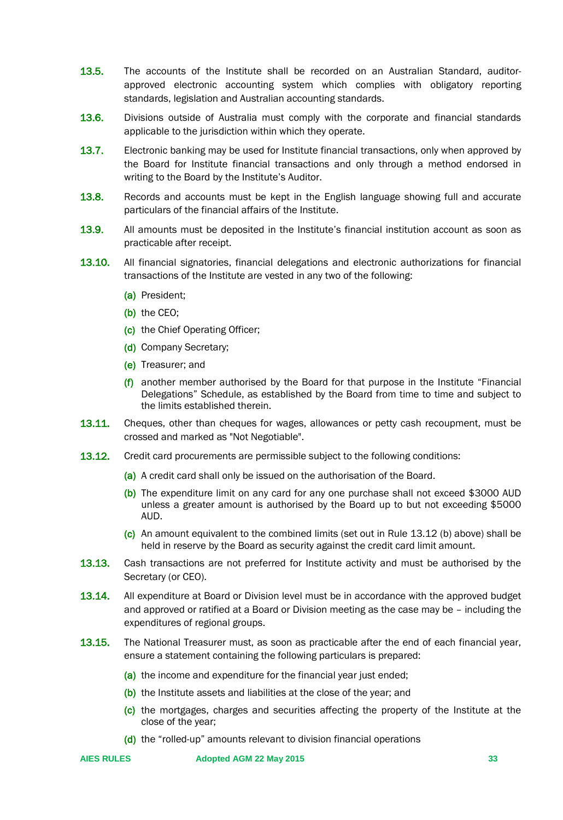- 13.5. The accounts of the Institute shall be recorded on an Australian Standard, auditorapproved electronic accounting system which complies with obligatory reporting standards, legislation and Australian accounting standards.
- **13.6.** Divisions outside of Australia must comply with the corporate and financial standards applicable to the jurisdiction within which they operate.
- **13.7.** Electronic banking may be used for Institute financial transactions, only when approved by the Board for Institute financial transactions and only through a method endorsed in writing to the Board by the Institute's Auditor.
- **13.8.** Records and accounts must be kept in the English language showing full and accurate particulars of the financial affairs of the Institute.
- 13.9. All amounts must be deposited in the Institute's financial institution account as soon as practicable after receipt.
- 13.10. All financial signatories, financial delegations and electronic authorizations for financial transactions of the Institute are vested in any two of the following:
	- (a) President;
	- (b) the CEO;
	- (c) the Chief Operating Officer;
	- (d) Company Secretary;
	- (e) Treasurer; and
	- (f) another member authorised by the Board for that purpose in the Institute "Financial" Delegations" Schedule, as established by the Board from time to time and subject to the limits established therein.
- **13.11.** Cheques, other than cheques for wages, allowances or petty cash recoupment, must be crossed and marked as "Not Negotiable".
- **13.12.** Credit card procurements are permissible subject to the following conditions:
	- (a) A credit card shall only be issued on the authorisation of the Board.
	- (b) The expenditure limit on any card for any one purchase shall not exceed \$3000 AUD unless a greater amount is authorised by the Board up to but not exceeding \$5000 AUD.
	- (c) An amount equivalent to the combined limits (set out in Rule 13.12 (b) above) shall be held in reserve by the Board as security against the credit card limit amount.
- **13.13.** Cash transactions are not preferred for Institute activity and must be authorised by the Secretary (or CEO).
- 13.14. All expenditure at Board or Division level must be in accordance with the approved budget and approved or ratified at a Board or Division meeting as the case may be – including the expenditures of regional groups.
- 13.15. The National Treasurer must, as soon as practicable after the end of each financial year, ensure a statement containing the following particulars is prepared:
	- (a) the income and expenditure for the financial year just ended;
	- (b) the Institute assets and liabilities at the close of the year; and
	- (c) the mortgages, charges and securities affecting the property of the Institute at the close of the year;
	- (d) the "rolled-up" amounts relevant to division financial operations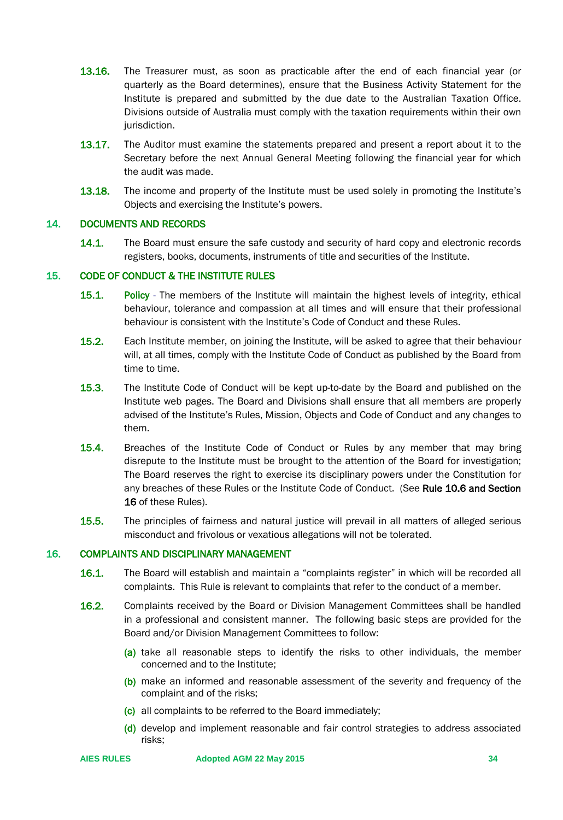- 13.16. The Treasurer must, as soon as practicable after the end of each financial year (or quarterly as the Board determines), ensure that the Business Activity Statement for the Institute is prepared and submitted by the due date to the Australian Taxation Office. Divisions outside of Australia must comply with the taxation requirements within their own jurisdiction.
- **13.17.** The Auditor must examine the statements prepared and present a report about it to the Secretary before the next Annual General Meeting following the financial year for which the audit was made.
- **13.18.** The income and property of the Institute must be used solely in promoting the Institute's Objects and exercising the Institute's powers.

#### <span id="page-33-0"></span>14. DOCUMENTS AND RECORDS

**14.1.** The Board must ensure the safe custody and security of hard copy and electronic records registers, books, documents, instruments of title and securities of the Institute.

#### <span id="page-33-1"></span>15. CODE OF CONDUCT & THE INSTITUTE RULES

- 15.1. Policy The members of the Institute will maintain the highest levels of integrity, ethical behaviour, tolerance and compassion at all times and will ensure that their professional behaviour is consistent with the Institute's Code of Conduct and these Rules.
- 15.2. Each Institute member, on joining the Institute, will be asked to agree that their behaviour will, at all times, comply with the Institute Code of Conduct as published by the Board from time to time.
- **15.3.** The Institute Code of Conduct will be kept up-to-date by the Board and published on the Institute web pages. The Board and Divisions shall ensure that all members are properly advised of the Institute's Rules, Mission, Objects and Code of Conduct and any changes to them.
- 15.4. Breaches of the Institute Code of Conduct or Rules by any member that may bring disrepute to the Institute must be brought to the attention of the Board for investigation; The Board reserves the right to exercise its disciplinary powers under the Constitution for any breaches of these Rules or the Institute Code of Conduct. (See Rule 10.6 and Section 16 of these Rules).
- 15.5. The principles of fairness and natural justice will prevail in all matters of alleged serious misconduct and frivolous or vexatious allegations will not be tolerated.

#### <span id="page-33-2"></span>16. COMPLAINTS AND DISCIPLINARY MANAGEMENT

- **16.1.** The Board will establish and maintain a "complaints register" in which will be recorded all complaints. This Rule is relevant to complaints that refer to the conduct of a member.
- 16.2. Complaints received by the Board or Division Management Committees shall be handled in a professional and consistent manner. The following basic steps are provided for the Board and/or Division Management Committees to follow:
	- (a) take all reasonable steps to identify the risks to other individuals, the member concerned and to the Institute;
	- (b) make an informed and reasonable assessment of the severity and frequency of the complaint and of the risks;
	- (c) all complaints to be referred to the Board immediately;
	- (d) develop and implement reasonable and fair control strategies to address associated risks;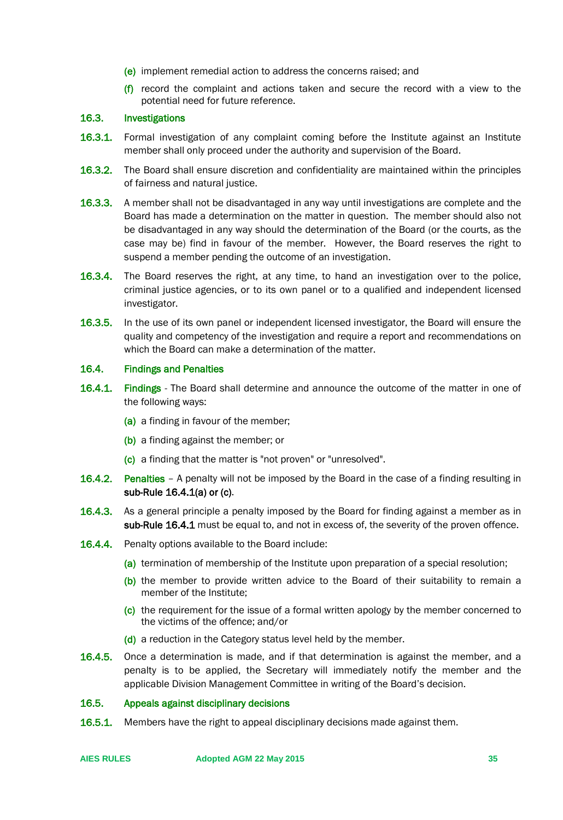- (e) implement remedial action to address the concerns raised; and
- $(f)$  record the complaint and actions taken and secure the record with a view to the potential need for future reference.

## 16.3. Investigations

- 16.3.1. Formal investigation of any complaint coming before the Institute against an Institute member shall only proceed under the authority and supervision of the Board.
- **16.3.2.** The Board shall ensure discretion and confidentiality are maintained within the principles of fairness and natural justice.
- **16.3.3.** A member shall not be disadvantaged in any way until investigations are complete and the Board has made a determination on the matter in question. The member should also not be disadvantaged in any way should the determination of the Board (or the courts, as the case may be) find in favour of the member. However, the Board reserves the right to suspend a member pending the outcome of an investigation.
- 16.3.4. The Board reserves the right, at any time, to hand an investigation over to the police, criminal justice agencies, or to its own panel or to a qualified and independent licensed investigator.
- **16.3.5.** In the use of its own panel or independent licensed investigator, the Board will ensure the quality and competency of the investigation and require a report and recommendations on which the Board can make a determination of the matter.

#### 16.4. Findings and Penalties

- 16.4.1. Findings The Board shall determine and announce the outcome of the matter in one of the following ways:
	- (a) a finding in favour of the member;
	- (b) a finding against the member; or
	- (c) a finding that the matter is "not proven" or "unresolved".
- 16.4.2. Penalties A penalty will not be imposed by the Board in the case of a finding resulting in sub-Rule 16.4.1(a) or (c).
- **16.4.3.** As a general principle a penalty imposed by the Board for finding against a member as in sub-Rule 16.4.1 must be equal to, and not in excess of, the severity of the proven offence.
- **16.4.4.** Penalty options available to the Board include:
	- (a) termination of membership of the Institute upon preparation of a special resolution;
	- (b) the member to provide written advice to the Board of their suitability to remain a member of the Institute;
	- (c) the requirement for the issue of a formal written apology by the member concerned to the victims of the offence; and/or
	- (d) a reduction in the Category status level held by the member.
- 16.4.5. Once a determination is made, and if that determination is against the member, and a penalty is to be applied, the Secretary will immediately notify the member and the applicable Division Management Committee in writing of the Board's decision.

## 16.5. Appeals against disciplinary decisions

**16.5.1.** Members have the right to appeal disciplinary decisions made against them.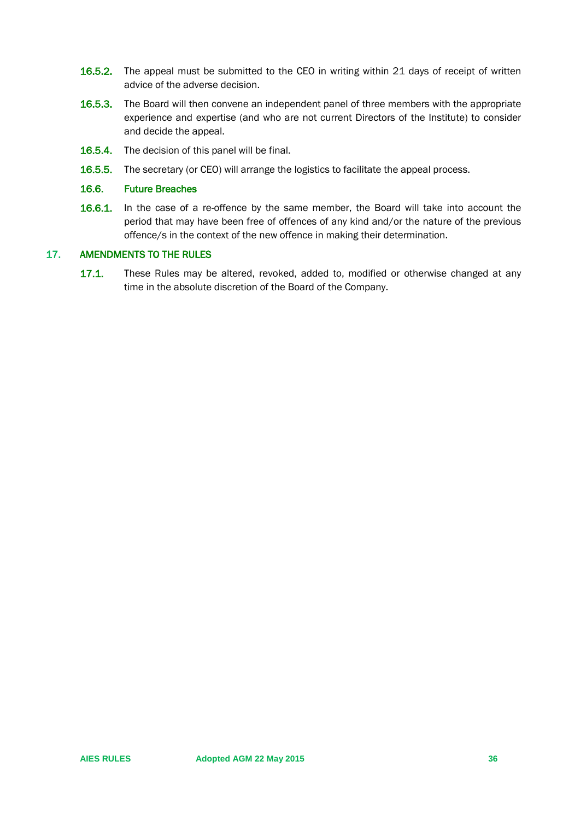- **16.5.2.** The appeal must be submitted to the CEO in writing within 21 days of receipt of written advice of the adverse decision.
- 16.5.3. The Board will then convene an independent panel of three members with the appropriate experience and expertise (and who are not current Directors of the Institute) to consider and decide the appeal.
- **16.5.4.** The decision of this panel will be final.
- **16.5.5.** The secretary (or CEO) will arrange the logistics to facilitate the appeal process.

#### 16.6. Future Breaches

16.6.1. In the case of a re-offence by the same member, the Board will take into account the period that may have been free of offences of any kind and/or the nature of the previous offence/s in the context of the new offence in making their determination.

#### <span id="page-35-0"></span>17. AMENDMENTS TO THE RULES

17.1. These Rules may be altered, revoked, added to, modified or otherwise changed at any time in the absolute discretion of the Board of the Company.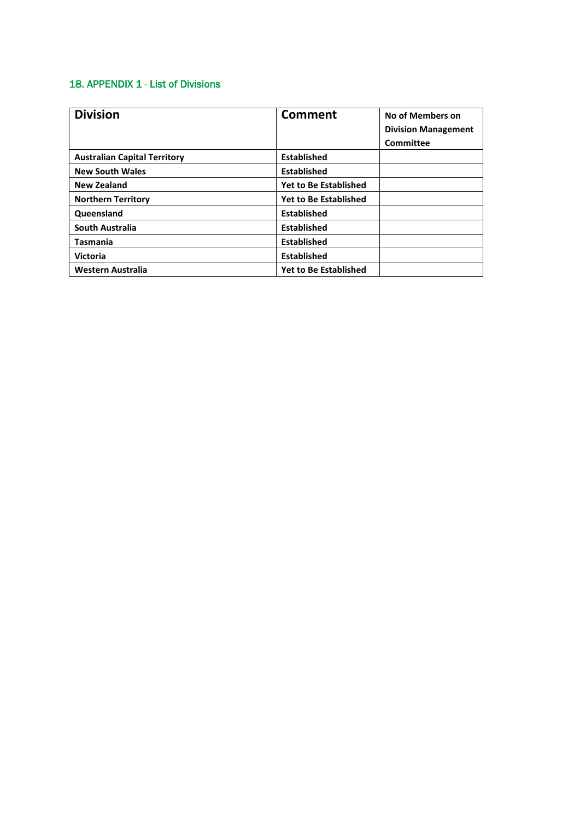## 18. APPENDIX 1 - List of Divisions

| <b>Division</b>                     | <b>Comment</b>               | No of Members on           |
|-------------------------------------|------------------------------|----------------------------|
|                                     |                              | <b>Division Management</b> |
|                                     |                              | <b>Committee</b>           |
| <b>Australian Capital Territory</b> | <b>Established</b>           |                            |
| <b>New South Wales</b>              | <b>Established</b>           |                            |
| <b>New Zealand</b>                  | <b>Yet to Be Established</b> |                            |
| <b>Northern Territory</b>           | <b>Yet to Be Established</b> |                            |
| Queensland                          | <b>Established</b>           |                            |
| South Australia                     | <b>Established</b>           |                            |
| Tasmania                            | <b>Established</b>           |                            |
| <b>Victoria</b>                     | <b>Established</b>           |                            |
| <b>Western Australia</b>            | <b>Yet to Be Established</b> |                            |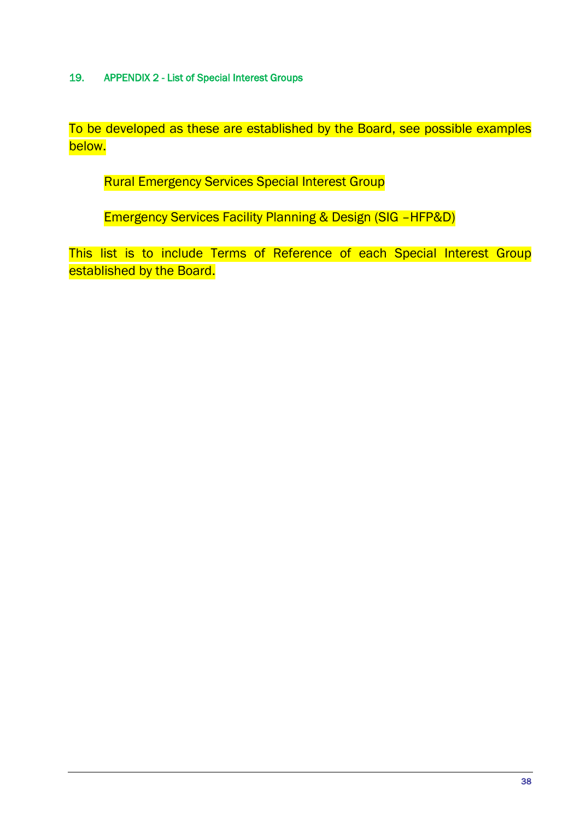19. APPENDIX 2 - List of Special Interest Groups

To be developed as these are established by the Board, see possible examples below.

Rural Emergency Services Special Interest Group

Emergency Services Facility Planning & Design (SIG –HFP&D)

This list is to include Terms of Reference of each Special Interest Group established by the Board.